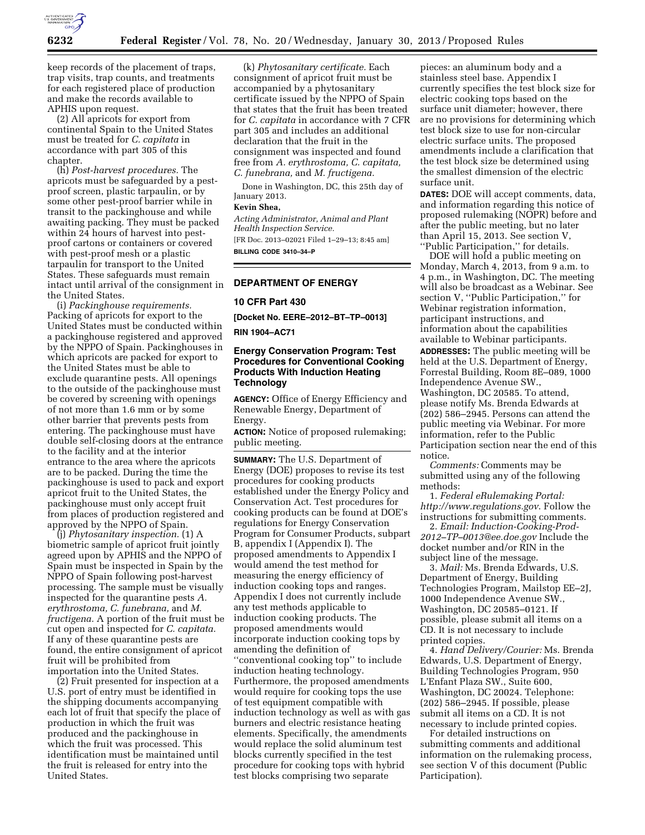

keep records of the placement of traps, trap visits, trap counts, and treatments for each registered place of production and make the records available to APHIS upon request.

(2) All apricots for export from continental Spain to the United States must be treated for *C. capitata* in accordance with part 305 of this chapter.

(h) *Post-harvest procedures.* The apricots must be safeguarded by a pestproof screen, plastic tarpaulin, or by some other pest-proof barrier while in transit to the packinghouse and while awaiting packing. They must be packed within 24 hours of harvest into pestproof cartons or containers or covered with pest-proof mesh or a plastic tarpaulin for transport to the United States. These safeguards must remain intact until arrival of the consignment in the United States.

(i) *Packinghouse requirements.*  Packing of apricots for export to the United States must be conducted within a packinghouse registered and approved by the NPPO of Spain. Packinghouses in which apricots are packed for export to the United States must be able to exclude quarantine pests. All openings to the outside of the packinghouse must be covered by screening with openings of not more than 1.6 mm or by some other barrier that prevents pests from entering. The packinghouse must have double self-closing doors at the entrance to the facility and at the interior entrance to the area where the apricots are to be packed. During the time the packinghouse is used to pack and export apricot fruit to the United States, the packinghouse must only accept fruit from places of production registered and approved by the NPPO of Spain.

(j) *Phytosanitary inspection.* (1) A biometric sample of apricot fruit jointly agreed upon by APHIS and the NPPO of Spain must be inspected in Spain by the NPPO of Spain following post-harvest processing. The sample must be visually inspected for the quarantine pests *A. erythrostoma, C. funebrana,* and *M. fructigena.* A portion of the fruit must be cut open and inspected for *C. capitata.*  If any of these quarantine pests are found, the entire consignment of apricot fruit will be prohibited from importation into the United States.

(2) Fruit presented for inspection at a U.S. port of entry must be identified in the shipping documents accompanying each lot of fruit that specify the place of production in which the fruit was produced and the packinghouse in which the fruit was processed. This identification must be maintained until the fruit is released for entry into the United States.

(k) *Phytosanitary certificate.* Each consignment of apricot fruit must be accompanied by a phytosanitary certificate issued by the NPPO of Spain that states that the fruit has been treated for *C. capitata* in accordance with 7 CFR part 305 and includes an additional declaration that the fruit in the consignment was inspected and found free from *A. erythrostoma, C. capitata, C. funebrana,* and *M. fructigena.* 

Done in Washington, DC, this 25th day of January 2013.

### **Kevin Shea,**

*Acting Administrator, Animal and Plant Health Inspection Service.* 

[FR Doc. 2013–02021 Filed 1–29–13; 8:45 am] **BILLING CODE 3410–34–P** 

#### **DEPARTMENT OF ENERGY**

#### **10 CFR Part 430**

**[Docket No. EERE–2012–BT–TP–0013]** 

**RIN 1904–AC71** 

# **Energy Conservation Program: Test Procedures for Conventional Cooking Products With Induction Heating Technology**

**AGENCY:** Office of Energy Efficiency and Renewable Energy, Department of Energy.

**ACTION:** Notice of proposed rulemaking; public meeting.

**SUMMARY:** The U.S. Department of Energy (DOE) proposes to revise its test procedures for cooking products established under the Energy Policy and Conservation Act. Test procedures for cooking products can be found at DOE's regulations for Energy Conservation Program for Consumer Products, subpart B, appendix I (Appendix I). The proposed amendments to Appendix I would amend the test method for measuring the energy efficiency of induction cooking tops and ranges. Appendix I does not currently include any test methods applicable to induction cooking products. The proposed amendments would incorporate induction cooking tops by amending the definition of ''conventional cooking top'' to include induction heating technology. Furthermore, the proposed amendments would require for cooking tops the use of test equipment compatible with induction technology as well as with gas burners and electric resistance heating elements. Specifically, the amendments would replace the solid aluminum test blocks currently specified in the test procedure for cooking tops with hybrid test blocks comprising two separate

pieces: an aluminum body and a stainless steel base. Appendix I currently specifies the test block size for electric cooking tops based on the surface unit diameter; however, there are no provisions for determining which test block size to use for non-circular electric surface units. The proposed amendments include a clarification that the test block size be determined using the smallest dimension of the electric surface unit.

**DATES:** DOE will accept comments, data, and information regarding this notice of proposed rulemaking (NOPR) before and after the public meeting, but no later than April 15, 2013. See section V, ''Public Participation,'' for details.

DOE will hold a public meeting on Monday, March 4, 2013, from 9 a.m. to 4 p.m., in Washington, DC. The meeting will also be broadcast as a Webinar. See section V, ''Public Participation,'' for Webinar registration information, participant instructions, and information about the capabilities available to Webinar participants. **ADDRESSES:** The public meeting will be held at the U.S. Department of Energy, Forrestal Building, Room 8E–089, 1000 Independence Avenue SW., Washington, DC 20585. To attend, please notify Ms. Brenda Edwards at (202) 586–2945. Persons can attend the public meeting via Webinar. For more information, refer to the Public Participation section near the end of this notice.

*Comments:* Comments may be submitted using any of the following methods:

1. *Federal eRulemaking Portal: <http://www.regulations.gov>*. Follow the instructions for submitting comments.

2. *Email: [Induction-Cooking-Prod-](mailto:Induction-Cooking-Prod-2012-TP-0013@ee.doe.gov)[2012–TP–0013@ee.doe.gov](mailto:Induction-Cooking-Prod-2012-TP-0013@ee.doe.gov)* Include the docket number and/or RIN in the subject line of the message.

3. *Mail:* Ms. Brenda Edwards, U.S. Department of Energy, Building Technologies Program, Mailstop EE–2J, 1000 Independence Avenue SW., Washington, DC 20585–0121. If possible, please submit all items on a CD. It is not necessary to include printed copies.

4. *Hand Delivery/Courier:* Ms. Brenda Edwards, U.S. Department of Energy, Building Technologies Program, 950 L'Enfant Plaza SW., Suite 600, Washington, DC 20024. Telephone: (202) 586–2945. If possible, please submit all items on a CD. It is not necessary to include printed copies.

For detailed instructions on submitting comments and additional information on the rulemaking process, see section V of this document (Public Participation).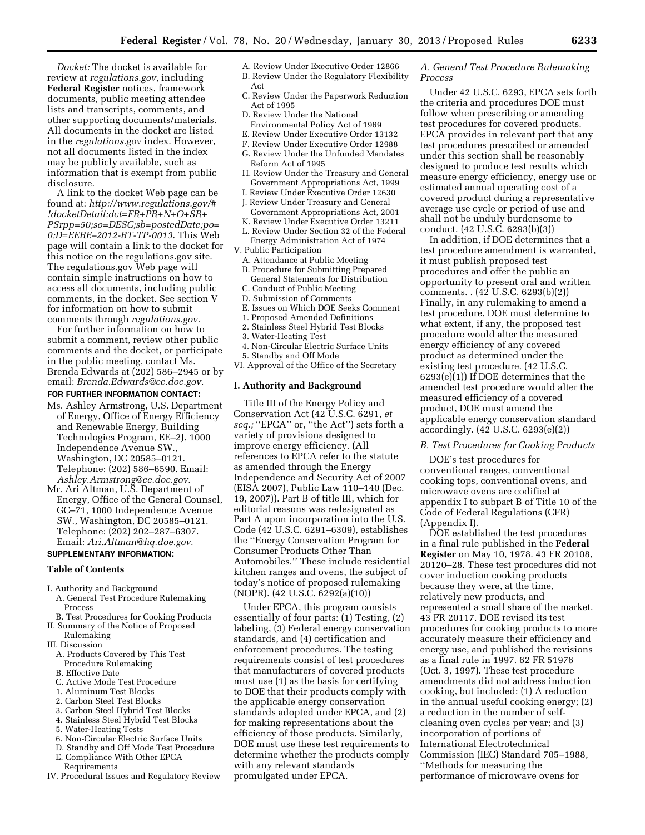*Docket:* The docket is available for review at *regulations.gov*, including **Federal Register** notices, framework documents, public meeting attendee lists and transcripts, comments, and other supporting documents/materials. All documents in the docket are listed in the *regulations.gov* index. However, not all documents listed in the index may be publicly available, such as information that is exempt from public disclosure.

A link to the docket Web page can be found at: *[http://www.regulations.gov/#](http://www.regulations.gov/#!docketDetail;dct=FR+PR+N+O+SR+PSrpp=50;so=DESC;sb=postedDate;po=0;D=EERE-2012-BT-TP-0013) [!docketDetail;dct=FR+PR+N+O+SR+](http://www.regulations.gov/#!docketDetail;dct=FR+PR+N+O+SR+PSrpp=50;so=DESC;sb=postedDate;po=0;D=EERE-2012-BT-TP-0013) [PSrpp=50;so=DESC;sb=postedDate;po=](http://www.regulations.gov/#!docketDetail;dct=FR+PR+N+O+SR+PSrpp=50;so=DESC;sb=postedDate;po=0;D=EERE-2012-BT-TP-0013) [0;D=EERE–2012-BT-TP-0013](http://www.regulations.gov/#!docketDetail;dct=FR+PR+N+O+SR+PSrpp=50;so=DESC;sb=postedDate;po=0;D=EERE-2012-BT-TP-0013)*. This Web page will contain a link to the docket for this notice on the regulations.gov site. The regulations.gov Web page will contain simple instructions on how to access all documents, including public comments, in the docket. See section V for information on how to submit comments through *regulations.gov.* 

For further information on how to submit a comment, review other public comments and the docket, or participate in the public meeting, contact Ms. Brenda Edwards at (202) 586–2945 or by email: *[Brenda.Edwards@ee.doe.gov.](mailto:Brenda.Edwards@ee.doe.gov)* 

## **FOR FURTHER INFORMATION CONTACT:**

- Ms. Ashley Armstrong, U.S. Department of Energy, Office of Energy Efficiency and Renewable Energy, Building Technologies Program, EE–2J, 1000 Independence Avenue SW., Washington, DC 20585–0121. Telephone: (202) 586–6590. Email: *[Ashley.Armstrong@ee.doe.gov.](mailto:Ashley.Armstrong@ee.doe.gov)*
- Mr. Ari Altman, U.S. Department of Energy, Office of the General Counsel, GC–71, 1000 Independence Avenue SW., Washington, DC 20585–0121. Telephone: (202) 202–287–6307. Email: *[Ari.Altman@hq.doe.gov](mailto:Ari.Altman@hq.doe.gov)*.

#### **SUPPLEMENTARY INFORMATION:**

#### **Table of Contents**

- I. Authority and Background
- A. General Test Procedure Rulemaking Process
- B. Test Procedures for Cooking Products II. Summary of the Notice of Proposed
- Rulemaking III. Discussion
- A. Products Covered by This Test Procedure Rulemaking
- B. Effective Date
- C. Active Mode Test Procedure
- 1. Aluminum Test Blocks
- 2. Carbon Steel Test Blocks
- 3. Carbon Steel Hybrid Test Blocks
- 4. Stainless Steel Hybrid Test Blocks
- 5. Water-Heating Tests
- 6. Non-Circular Electric Surface Units
- D. Standby and Off Mode Test Procedure
- E. Compliance With Other EPCA
- Requirements
- IV. Procedural Issues and Regulatory Review
- A. Review Under Executive Order 12866 B. Review Under the Regulatory Flexibility
- Act
- C. Review Under the Paperwork Reduction Act of 1995
- D. Review Under the National Environmental Policy Act of 1969
- E. Review Under Executive Order 13132
- F. Review Under Executive Order 12988
- G. Review Under the Unfunded Mandates Reform Act of 1995
- H. Review Under the Treasury and General Government Appropriations Act, 1999
- I. Review Under Executive Order 12630
- J. Review Under Treasury and General Government Appropriations Act, 2001
- K. Review Under Executive Order 13211
- L. Review Under Section 32 of the Federal Energy Administration Act of 1974
- V. Public Participation
	- A. Attendance at Public Meeting
	- B. Procedure for Submitting Prepared
	- General Statements for Distribution
	- C. Conduct of Public Meeting
	- D. Submission of Comments
	- E. Issues on Which DOE Seeks Comment
	- 1. Proposed Amended Definitions
	- 2. Stainless Steel Hybrid Test Blocks
	- 3. Water-Heating Test
- 4. Non-Circular Electric Surface Units
- 5. Standby and Off Mode
- VI. Approval of the Office of the Secretary

#### **I. Authority and Background**

Title III of the Energy Policy and Conservation Act (42 U.S.C. 6291, *et seq.;* ''EPCA'' or, ''the Act'') sets forth a variety of provisions designed to improve energy efficiency. (All references to EPCA refer to the statute as amended through the Energy Independence and Security Act of 2007 (EISA 2007), Public Law 110–140 (Dec. 19, 2007)). Part B of title III, which for editorial reasons was redesignated as Part A upon incorporation into the U.S. Code (42 U.S.C. 6291–6309), establishes the ''Energy Conservation Program for Consumer Products Other Than Automobiles.'' These include residential kitchen ranges and ovens, the subject of today's notice of proposed rulemaking (NOPR). (42 U.S.C. 6292(a)(10))

Under EPCA, this program consists essentially of four parts: (1) Testing, (2) labeling, (3) Federal energy conservation standards, and (4) certification and enforcement procedures. The testing requirements consist of test procedures that manufacturers of covered products must use (1) as the basis for certifying to DOE that their products comply with the applicable energy conservation standards adopted under EPCA, and (2) for making representations about the efficiency of those products. Similarly, DOE must use these test requirements to determine whether the products comply with any relevant standards promulgated under EPCA.

## *A. General Test Procedure Rulemaking Process*

Under 42 U.S.C. 6293, EPCA sets forth the criteria and procedures DOE must follow when prescribing or amending test procedures for covered products. EPCA provides in relevant part that any test procedures prescribed or amended under this section shall be reasonably designed to produce test results which measure energy efficiency, energy use or estimated annual operating cost of a covered product during a representative average use cycle or period of use and shall not be unduly burdensome to conduct. (42 U.S.C. 6293(b)(3))

In addition, if DOE determines that a test procedure amendment is warranted, it must publish proposed test procedures and offer the public an opportunity to present oral and written comments. . (42 U.S.C. 6293(b)(2)) Finally, in any rulemaking to amend a test procedure, DOE must determine to what extent, if any, the proposed test procedure would alter the measured energy efficiency of any covered product as determined under the existing test procedure. (42 U.S.C.  $6293(e)(1)$ ) If DOE determines that the amended test procedure would alter the measured efficiency of a covered product, DOE must amend the applicable energy conservation standard accordingly. (42 U.S.C. 6293(e)(2))

#### *B. Test Procedures for Cooking Products*

DOE's test procedures for conventional ranges, conventional cooking tops, conventional ovens, and microwave ovens are codified at appendix I to subpart B of Title 10 of the Code of Federal Regulations (CFR) (Appendix I).

DOE established the test procedures in a final rule published in the **Federal Register** on May 10, 1978. 43 FR 20108, 20120–28. These test procedures did not cover induction cooking products because they were, at the time, relatively new products, and represented a small share of the market. 43 FR 20117. DOE revised its test procedures for cooking products to more accurately measure their efficiency and energy use, and published the revisions as a final rule in 1997. 62 FR 51976 (Oct. 3, 1997). These test procedure amendments did not address induction cooking, but included: (1) A reduction in the annual useful cooking energy; (2) a reduction in the number of selfcleaning oven cycles per year; and (3) incorporation of portions of International Electrotechnical Commission (IEC) Standard 705–1988, ''Methods for measuring the performance of microwave ovens for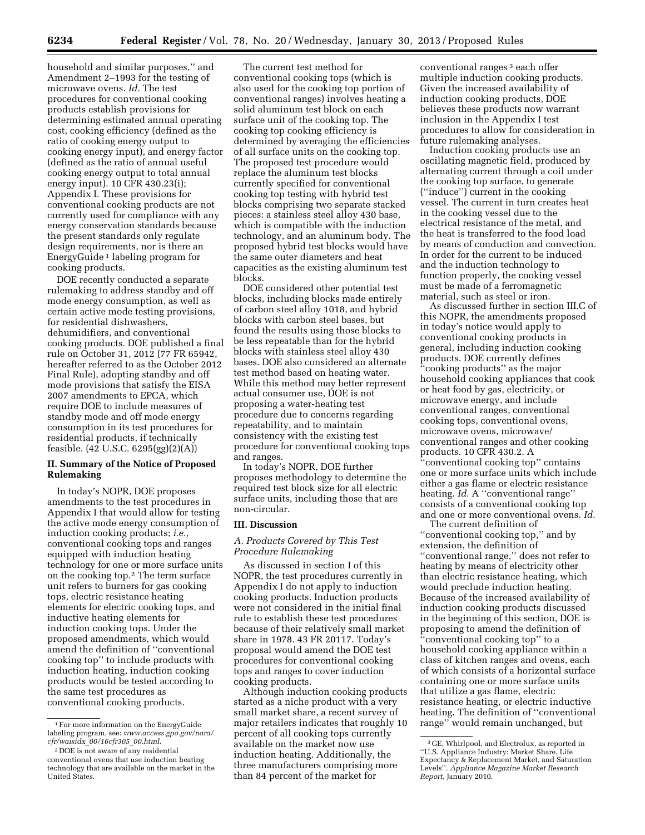household and similar purposes,'' and Amendment 2–1993 for the testing of microwave ovens. *Id.* The test procedures for conventional cooking products establish provisions for determining estimated annual operating cost, cooking efficiency (defined as the ratio of cooking energy output to cooking energy input), and energy factor (defined as the ratio of annual useful cooking energy output to total annual energy input). 10 CFR 430.23(i); Appendix I. These provisions for conventional cooking products are not currently used for compliance with any energy conservation standards because the present standards only regulate design requirements, nor is there an EnergyGuide 1 labeling program for cooking products.

DOE recently conducted a separate rulemaking to address standby and off mode energy consumption, as well as certain active mode testing provisions, for residential dishwashers, dehumidifiers, and conventional cooking products. DOE published a final rule on October 31, 2012 (77 FR 65942, hereafter referred to as the October 2012 Final Rule), adopting standby and off mode provisions that satisfy the EISA 2007 amendments to EPCA, which require DOE to include measures of standby mode and off mode energy consumption in its test procedures for residential products, if technically feasible. (42 U.S.C. 6295(gg)(2)(A))

# **II. Summary of the Notice of Proposed Rulemaking**

In today's NOPR, DOE proposes amendments to the test procedures in Appendix I that would allow for testing the active mode energy consumption of induction cooking products; *i.e.,*  conventional cooking tops and ranges equipped with induction heating technology for one or more surface units on the cooking top.2 The term surface unit refers to burners for gas cooking tops, electric resistance heating elements for electric cooking tops, and inductive heating elements for induction cooking tops. Under the proposed amendments, which would amend the definition of ''conventional cooking top'' to include products with induction heating, induction cooking products would be tested according to the same test procedures as conventional cooking products.

The current test method for conventional cooking tops (which is also used for the cooking top portion of conventional ranges) involves heating a solid aluminum test block on each surface unit of the cooking top. The cooking top cooking efficiency is determined by averaging the efficiencies of all surface units on the cooking top. The proposed test procedure would replace the aluminum test blocks currently specified for conventional cooking top testing with hybrid test blocks comprising two separate stacked pieces: a stainless steel alloy 430 base, which is compatible with the induction technology, and an aluminum body. The proposed hybrid test blocks would have the same outer diameters and heat capacities as the existing aluminum test blocks.

DOE considered other potential test blocks, including blocks made entirely of carbon steel alloy 1018, and hybrid blocks with carbon steel bases, but found the results using those blocks to be less repeatable than for the hybrid blocks with stainless steel alloy 430 bases. DOE also considered an alternate test method based on heating water. While this method may better represent actual consumer use, DOE is not proposing a water-heating test procedure due to concerns regarding repeatability, and to maintain consistency with the existing test procedure for conventional cooking tops and ranges.

In today's NOPR, DOE further proposes methodology to determine the required test block size for all electric surface units, including those that are non-circular.

#### **III. Discussion**

# *A. Products Covered by This Test Procedure Rulemaking*

As discussed in section I of this NOPR, the test procedures currently in Appendix I do not apply to induction cooking products. Induction products were not considered in the initial final rule to establish these test procedures because of their relatively small market share in 1978. 43 FR 20117. Today's proposal would amend the DOE test procedures for conventional cooking tops and ranges to cover induction cooking products.

Although induction cooking products started as a niche product with a very small market share, a recent survey of major retailers indicates that roughly 10 percent of all cooking tops currently available on the market now use induction heating. Additionally, the three manufacturers comprising more than 84 percent of the market for

conventional ranges 3 each offer multiple induction cooking products. Given the increased availability of induction cooking products, DOE believes these products now warrant inclusion in the Appendix I test procedures to allow for consideration in future rulemaking analyses.

Induction cooking products use an oscillating magnetic field, produced by alternating current through a coil under the cooking top surface, to generate (''induce'') current in the cooking vessel. The current in turn creates heat in the cooking vessel due to the electrical resistance of the metal, and the heat is transferred to the food load by means of conduction and convection. In order for the current to be induced and the induction technology to function properly, the cooking vessel must be made of a ferromagnetic material, such as steel or iron.

As discussed further in section III.C of this NOPR, the amendments proposed in today's notice would apply to conventional cooking products in general, including induction cooking products. DOE currently defines ''cooking products'' as the major household cooking appliances that cook or heat food by gas, electricity, or microwave energy, and include conventional ranges, conventional cooking tops, conventional ovens, microwave ovens, microwave/ conventional ranges and other cooking products. 10 CFR 430.2. A ''conventional cooking top'' contains one or more surface units which include either a gas flame or electric resistance heating. *Id.* A "conventional range" consists of a conventional cooking top and one or more conventional ovens. *Id.* 

The current definition of "conventional cooking top," and by extension, the definition of ''conventional range,'' does not refer to heating by means of electricity other than electric resistance heating, which would preclude induction heating. Because of the increased availability of induction cooking products discussed in the beginning of this section, DOE is proposing to amend the definition of ''conventional cooking top'' to a household cooking appliance within a class of kitchen ranges and ovens, each of which consists of a horizontal surface containing one or more surface units that utilize a gas flame, electric resistance heating, or electric inductive heating. The definition of ''conventional range'' would remain unchanged, but

<sup>1</sup>For more information on the EnergyGuide labeling program, see: *[www.access.gpo.gov/nara/](http://www.access.gpo.gov/nara/cfr/waisidx_00/16cfr305_00.html)  cfr/waisidx*\_*[00/16cfr305](http://www.access.gpo.gov/nara/cfr/waisidx_00/16cfr305_00.html)*\_*00.html*.

<sup>2</sup> DOE is not aware of any residential conventional ovens that use induction heating technology that are available on the market in the United States.

<sup>3</sup> GE, Whirlpool, and Electrolux, as reported in ''U.S. Appliance Industry: Market Share, Life Expectancy & Replacement Market, and Saturation Levels''. *Appliance Magazine Market Research Report,* January 2010.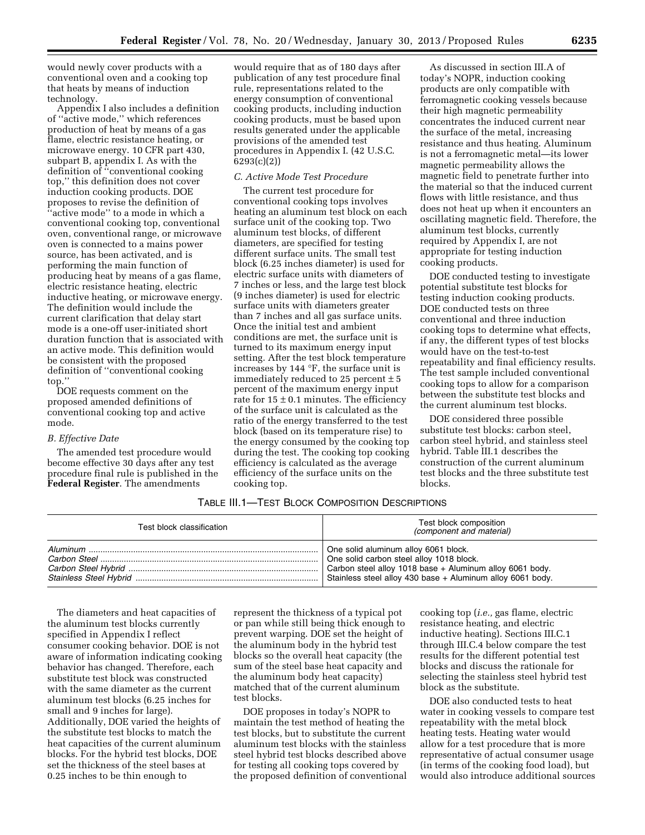would newly cover products with a conventional oven and a cooking top that heats by means of induction technology.

Appendix I also includes a definition of ''active mode,'' which references production of heat by means of a gas flame, electric resistance heating, or microwave energy. 10 CFR part 430, subpart B, appendix I. As with the definition of ''conventional cooking top,'' this definition does not cover induction cooking products. DOE proposes to revise the definition of ''active mode'' to a mode in which a conventional cooking top, conventional oven, conventional range, or microwave oven is connected to a mains power source, has been activated, and is performing the main function of producing heat by means of a gas flame, electric resistance heating, electric inductive heating, or microwave energy. The definition would include the current clarification that delay start mode is a one-off user-initiated short duration function that is associated with an active mode. This definition would be consistent with the proposed definition of ''conventional cooking top.''

DOE requests comment on the proposed amended definitions of conventional cooking top and active mode.

#### *B. Effective Date*

The amended test procedure would become effective 30 days after any test procedure final rule is published in the **Federal Register**. The amendments

would require that as of 180 days after publication of any test procedure final rule, representations related to the energy consumption of conventional cooking products, including induction cooking products, must be based upon results generated under the applicable provisions of the amended test procedures in Appendix I. (42 U.S.C. 6293(c)(2))

#### *C. Active Mode Test Procedure*

The current test procedure for conventional cooking tops involves heating an aluminum test block on each surface unit of the cooking top. Two aluminum test blocks, of different diameters, are specified for testing different surface units. The small test block (6.25 inches diameter) is used for electric surface units with diameters of 7 inches or less, and the large test block (9 inches diameter) is used for electric surface units with diameters greater than 7 inches and all gas surface units. Once the initial test and ambient conditions are met, the surface unit is turned to its maximum energy input setting. After the test block temperature increases by 144 °F, the surface unit is immediately reduced to 25 percent  $\pm$  5 percent of the maximum energy input rate for  $15 \pm 0.1$  minutes. The efficiency of the surface unit is calculated as the ratio of the energy transferred to the test block (based on its temperature rise) to the energy consumed by the cooking top during the test. The cooking top cooking efficiency is calculated as the average efficiency of the surface units on the cooking top.

As discussed in section III.A of today's NOPR, induction cooking products are only compatible with ferromagnetic cooking vessels because their high magnetic permeability concentrates the induced current near the surface of the metal, increasing resistance and thus heating. Aluminum is not a ferromagnetic metal—its lower magnetic permeability allows the magnetic field to penetrate further into the material so that the induced current flows with little resistance, and thus does not heat up when it encounters an oscillating magnetic field. Therefore, the aluminum test blocks, currently required by Appendix I, are not appropriate for testing induction cooking products.

DOE conducted testing to investigate potential substitute test blocks for testing induction cooking products. DOE conducted tests on three conventional and three induction cooking tops to determine what effects, if any, the different types of test blocks would have on the test-to-test repeatability and final efficiency results. The test sample included conventional cooking tops to allow for a comparison between the substitute test blocks and the current aluminum test blocks.

DOE considered three possible substitute test blocks: carbon steel, carbon steel hybrid, and stainless steel hybrid. Table III.1 describes the construction of the current aluminum test blocks and the three substitute test blocks.

# TABLE III.1—TEST BLOCK COMPOSITION DESCRIPTIONS

| Test block classification | Test block composition<br><i>(component and material)</i>                                                                                      |  |  |
|---------------------------|------------------------------------------------------------------------------------------------------------------------------------------------|--|--|
|                           | One solid aluminum alloy 6061 block.<br>One solid carbon steel alloy 1018 block.<br>Stainless steel alloy 430 base + Aluminum alloy 6061 body. |  |  |

The diameters and heat capacities of the aluminum test blocks currently specified in Appendix I reflect consumer cooking behavior. DOE is not aware of information indicating cooking behavior has changed. Therefore, each substitute test block was constructed with the same diameter as the current aluminum test blocks (6.25 inches for small and 9 inches for large). Additionally, DOE varied the heights of the substitute test blocks to match the heat capacities of the current aluminum blocks. For the hybrid test blocks, DOE set the thickness of the steel bases at 0.25 inches to be thin enough to

represent the thickness of a typical pot or pan while still being thick enough to prevent warping. DOE set the height of the aluminum body in the hybrid test blocks so the overall heat capacity (the sum of the steel base heat capacity and the aluminum body heat capacity) matched that of the current aluminum test blocks.

DOE proposes in today's NOPR to maintain the test method of heating the test blocks, but to substitute the current aluminum test blocks with the stainless steel hybrid test blocks described above for testing all cooking tops covered by the proposed definition of conventional cooking top (*i.e.,* gas flame, electric resistance heating, and electric inductive heating). Sections III.C.1 through III.C.4 below compare the test results for the different potential test blocks and discuss the rationale for selecting the stainless steel hybrid test block as the substitute.

DOE also conducted tests to heat water in cooking vessels to compare test repeatability with the metal block heating tests. Heating water would allow for a test procedure that is more representative of actual consumer usage (in terms of the cooking food load), but would also introduce additional sources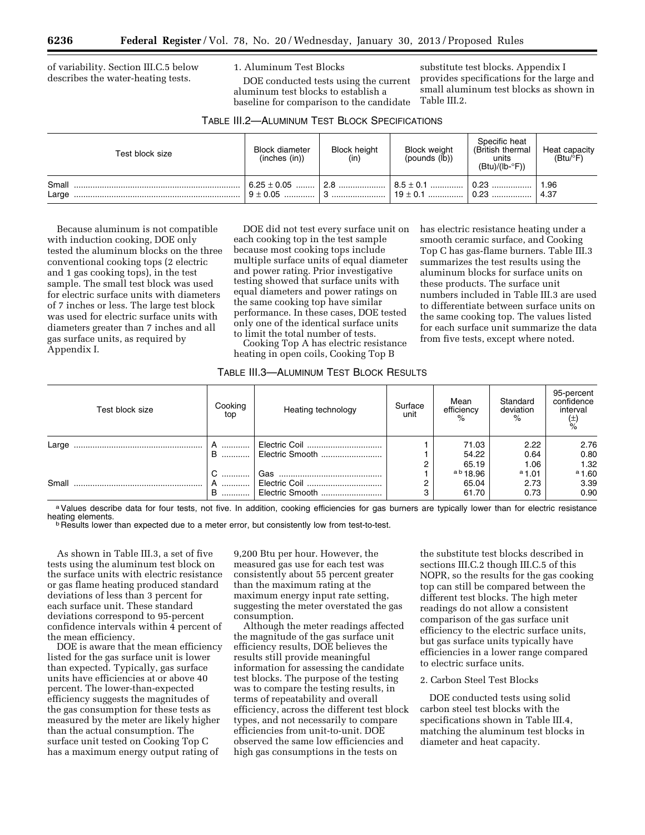of variability. Section III.C.5 below describes the water-heating tests.

1. Aluminum Test Blocks

DOE conducted tests using the current aluminum test blocks to establish a baseline for comparison to the candidate

substitute test blocks. Appendix I provides specifications for the large and small aluminum test blocks as shown in Table III.2.

has electric resistance heating under a smooth ceramic surface, and Cooking Top C has gas-flame burners. Table III.3 summarizes the test results using the aluminum blocks for surface units on these products. The surface unit

numbers included in Table III.3 are used to differentiate between surface units on the same cooking top. The values listed for each surface unit summarize the data from five tests, except where noted.

| Test block size | <b>Block diameter</b><br>(inches (in)) | <b>Block height</b><br>(in) | <b>Block weight</b><br>$(pounds (I\bar{b}))$ | Specific heat<br>(British thermal<br>units<br>$(Btu)/(lb - P))$ | Heat capacity<br>(Btu/°F) |
|-----------------|----------------------------------------|-----------------------------|----------------------------------------------|-----------------------------------------------------------------|---------------------------|
| Small<br>Large  | $6.25 \pm 0.05$ 2.8                    |                             |                                              |                                                                 | 1.96<br>4.37              |

Because aluminum is not compatible with induction cooking, DOE only tested the aluminum blocks on the three conventional cooking tops (2 electric and 1 gas cooking tops), in the test sample. The small test block was used for electric surface units with diameters of 7 inches or less. The large test block was used for electric surface units with diameters greater than 7 inches and all gas surface units, as required by Appendix I.

DOE did not test every surface unit on each cooking top in the test sample because most cooking tops include multiple surface units of equal diameter and power rating. Prior investigative testing showed that surface units with equal diameters and power ratings on the same cooking top have similar performance. In these cases, DOE tested only one of the identical surface units to limit the total number of tests.

Cooking Top A has electric resistance heating in open coils, Cooking Top B

## TABLE III.3—ALUMINUM TEST BLOCK RESULTS

| Test block size | Cooking<br>top | Heating technology               | Surface<br>unit | Mean<br>efficiency<br>$\%$          | Standard<br>deviation<br>$\%$ | 95-percent<br>confidence<br>interval<br>$(\frac{+}{\circ})$ |
|-----------------|----------------|----------------------------------|-----------------|-------------------------------------|-------------------------------|-------------------------------------------------------------|
| Large           |                |                                  |                 | 71.03<br>54.22                      | 2.22<br>0.64                  | 2.76<br>0.80                                                |
| Small           | C<br>B         | Electric Coil<br>Electric Smooth |                 | 65.19<br>ab 18.96<br>65.04<br>61.70 | 1.06<br>a1.01<br>2.73<br>0.73 | 1.32<br>a 1.60<br>3.39<br>0.90                              |

a Values describe data for four tests, not five. In addition, cooking efficiencies for gas burners are typically lower than for electric resistance heating elements.

**heath Results lower than expected due to a meter error, but consistently low from test-to-test.** 

As shown in Table III.3, a set of five tests using the aluminum test block on the surface units with electric resistance or gas flame heating produced standard deviations of less than 3 percent for each surface unit. These standard deviations correspond to 95-percent confidence intervals within 4 percent of the mean efficiency.

DOE is aware that the mean efficiency listed for the gas surface unit is lower than expected. Typically, gas surface units have efficiencies at or above 40 percent. The lower-than-expected efficiency suggests the magnitudes of the gas consumption for these tests as measured by the meter are likely higher than the actual consumption. The surface unit tested on Cooking Top C has a maximum energy output rating of

9,200 Btu per hour. However, the measured gas use for each test was consistently about 55 percent greater than the maximum rating at the maximum energy input rate setting, suggesting the meter overstated the gas consumption.

Although the meter readings affected the magnitude of the gas surface unit efficiency results, DOE believes the results still provide meaningful information for assessing the candidate test blocks. The purpose of the testing was to compare the testing results, in terms of repeatability and overall efficiency, across the different test block types, and not necessarily to compare efficiencies from unit-to-unit. DOE observed the same low efficiencies and high gas consumptions in the tests on

the substitute test blocks described in sections III.C.2 though III.C.5 of this NOPR, so the results for the gas cooking top can still be compared between the different test blocks. The high meter readings do not allow a consistent comparison of the gas surface unit efficiency to the electric surface units, but gas surface units typically have efficiencies in a lower range compared to electric surface units.

# 2. Carbon Steel Test Blocks

DOE conducted tests using solid carbon steel test blocks with the specifications shown in Table III.4, matching the aluminum test blocks in diameter and heat capacity.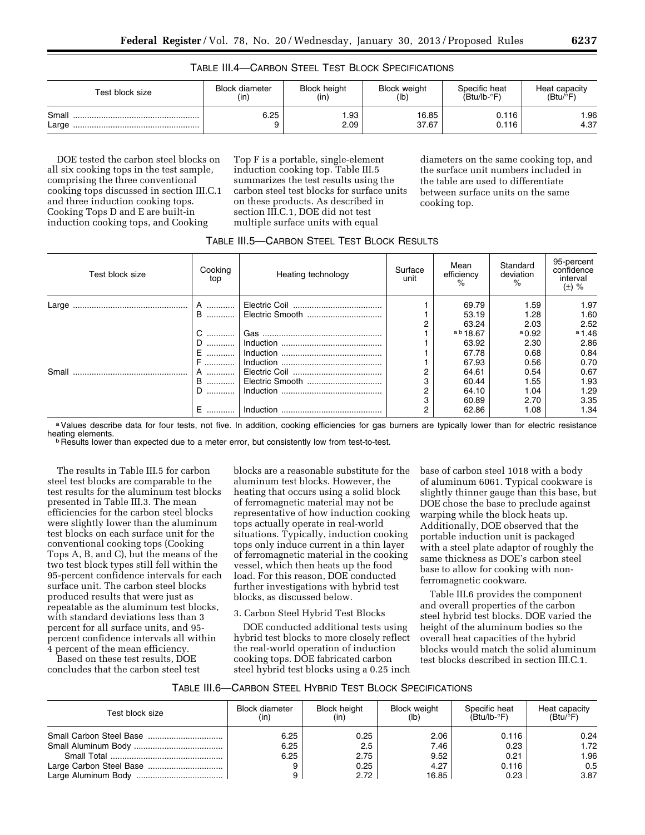|  | TABLE III.4—CARBON STEEL TEST BLOCK SPECIFICATIONS |
|--|----------------------------------------------------|
|--|----------------------------------------------------|

| Test block size | <b>Block diameter</b> | <b>Block height</b> | <b>Block weight</b> | Specific heat  | Heat capacity |
|-----------------|-----------------------|---------------------|---------------------|----------------|---------------|
|                 | (in                   | (in)                | (lb)                | $(Btu/lb - P)$ | (Btu/P)       |
| Small<br>Large  | 6.25                  | .93<br>2.09         | 16.85<br>37.67      | 0.116<br>0.116 | 1.96<br>4.37  |

DOE tested the carbon steel blocks on all six cooking tops in the test sample, comprising the three conventional cooking tops discussed in section III.C.1 and three induction cooking tops. Cooking Tops D and E are built-in induction cooking tops, and Cooking

Top F is a portable, single-element induction cooking top. Table III.5 summarizes the test results using the carbon steel test blocks for surface units on these products. As described in section III.C.1, DOE did not test multiple surface units with equal

diameters on the same cooking top, and the surface unit numbers included in the table are used to differentiate between surface units on the same cooking top.

| Test block size | Cooking<br>top | Heating technology | Surface<br>unit | Mean<br>efficiency<br>% | Standard<br>deviation<br>$\frac{1}{2}$ | 95-percent<br>confidence<br>interval<br>$(\pm)$ % |
|-----------------|----------------|--------------------|-----------------|-------------------------|----------------------------------------|---------------------------------------------------|
| Large           | A              |                    |                 | 69.79                   | 1.59                                   | 1.97                                              |
|                 | <b>B</b>       | Electric Smooth    |                 | 53.19                   | 1.28                                   | 1.60                                              |
|                 |                |                    |                 | 63.24                   | 2.03                                   | 2.52                                              |
|                 | C              |                    |                 | a b 18.67               | $a_{0.92}$                             | $a_{1.46}$                                        |
|                 | D.<br>.        |                    |                 | 63.92                   | 2.30                                   | 2.86                                              |
|                 |                |                    |                 | 67.78                   | 0.68                                   | 0.84                                              |
|                 |                |                    |                 | 67.93                   | 0.56                                   | 0.70                                              |
| Small           | A              |                    |                 | 64.61                   | 0.54                                   | 0.67                                              |
|                 | B  '           | Electric Smooth    |                 | 60.44                   | 1.55                                   | 1.93                                              |
|                 | D.<br>.        |                    |                 | 64.10                   | 1.04                                   | 1.29                                              |
|                 |                |                    |                 | 60.89                   | 2.70                                   | 3.35                                              |
|                 |                |                    |                 | 62.86                   | 1.08                                   | 1.34                                              |

a Values describe data for four tests, not five. In addition, cooking efficiencies for gas burners are typically lower than for electric resistance<br>heating elements.

<sup>b</sup> Results lower than expected due to a meter error, but consistently low from test-to-test.

The results in Table III.5 for carbon steel test blocks are comparable to the test results for the aluminum test blocks presented in Table III.3. The mean efficiencies for the carbon steel blocks were slightly lower than the aluminum test blocks on each surface unit for the conventional cooking tops (Cooking Tops A, B, and C), but the means of the two test block types still fell within the 95-percent confidence intervals for each surface unit. The carbon steel blocks produced results that were just as repeatable as the aluminum test blocks, with standard deviations less than 3 percent for all surface units, and 95 percent confidence intervals all within 4 percent of the mean efficiency.

Based on these test results, DOE concludes that the carbon steel test

blocks are a reasonable substitute for the aluminum test blocks. However, the heating that occurs using a solid block of ferromagnetic material may not be representative of how induction cooking tops actually operate in real-world situations. Typically, induction cooking tops only induce current in a thin layer of ferromagnetic material in the cooking vessel, which then heats up the food load. For this reason, DOE conducted further investigations with hybrid test blocks, as discussed below.

3. Carbon Steel Hybrid Test Blocks

DOE conducted additional tests using hybrid test blocks to more closely reflect the real-world operation of induction cooking tops. DOE fabricated carbon steel hybrid test blocks using a 0.25 inch

base of carbon steel 1018 with a body of aluminum 6061. Typical cookware is slightly thinner gauge than this base, but DOE chose the base to preclude against warping while the block heats up. Additionally, DOE observed that the portable induction unit is packaged with a steel plate adaptor of roughly the same thickness as DOE's carbon steel base to allow for cooking with nonferromagnetic cookware.

Table III.6 provides the component and overall properties of the carbon steel hybrid test blocks. DOE varied the height of the aluminum bodies so the overall heat capacities of the hybrid blocks would match the solid aluminum test blocks described in section III.C.1.

| TABLE III.6—CARBON STEEL HYBRID TEST BLOCK SPECIFICATIONS |  |
|-----------------------------------------------------------|--|
|-----------------------------------------------------------|--|

| Test block size | <b>Block diameter</b><br>(in) | <b>Block height</b><br>(in) | <b>Block weight</b><br>(lb) | Specific heat<br>$(Btu/lb - F)$ | Heat capacity<br>$(Btu)^{\circ}F$ |
|-----------------|-------------------------------|-----------------------------|-----------------------------|---------------------------------|-----------------------------------|
|                 | 6.25                          | 0.25                        | 2.06                        | 0.116                           | 0.24                              |
|                 | 6.25                          | 2.5                         | 7.46                        | 0.23                            | 1.72                              |
|                 | 6.25                          | 2.75                        | 9.52                        | 0.21                            | 1.96                              |
|                 |                               | 0.25                        | 4.27                        | 0.116                           | 0.5                               |
|                 |                               | 2.72                        | 16.85                       | 0.23                            | 3.87                              |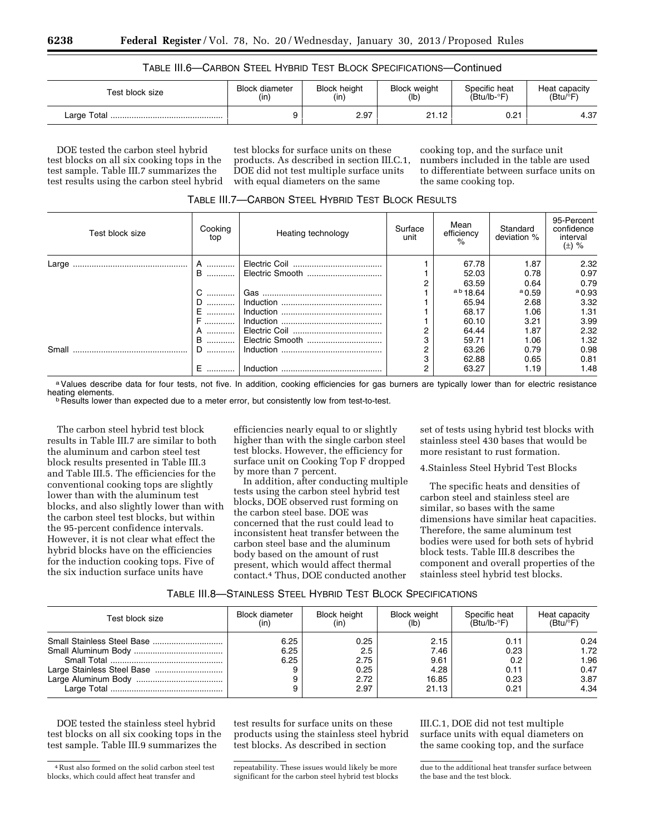| TABLE III.6-CARBON STEEL HYBRID TEST BLOCK SPECIFICATIONS-Continued |  |  |
|---------------------------------------------------------------------|--|--|
|---------------------------------------------------------------------|--|--|

| Test block size | <b>Block diameter</b> | <b>Block height</b> | <b>Block weight</b> | Specific heat  | Heat capacity    |
|-----------------|-----------------------|---------------------|---------------------|----------------|------------------|
|                 | (in)                  | (in)                | (lb)                | $(Btu/lb - P)$ | $(Btu)^{\circ}F$ |
| Large Total     |                       | 2.97                | 21.12               | 0.21           | 4.37             |

DOE tested the carbon steel hybrid test blocks on all six cooking tops in the test sample. Table III.7 summarizes the test results using the carbon steel hybrid

test blocks for surface units on these products. As described in section III.C.1, DOE did not test multiple surface units with equal diameters on the same

cooking top, and the surface unit numbers included in the table are used to differentiate between surface units on the same cooking top.

| Test block size | Cooking<br>top | Heating technology | Surface<br>unit | Mean<br>efficiency<br>$\%$ | Standard<br>deviation % | 95-Percent<br>confidence<br>interval<br>$(\pm)$ % |
|-----------------|----------------|--------------------|-----------------|----------------------------|-------------------------|---------------------------------------------------|
|                 | A              |                    |                 | 67.78                      | 1.87                    | 2.32                                              |
|                 | <b>B</b>       | Electric Smooth    |                 | 52.03                      | 0.78                    | 0.97                                              |
|                 |                |                    |                 | 63.59                      | 0.64                    | 0.79                                              |
|                 |                |                    |                 | a b 18.64                  | $a$ 0.59                | $a_{0.93}$                                        |
|                 |                |                    |                 | 65.94                      | 2.68                    | 3.32                                              |
|                 |                |                    |                 | 68.17                      | 1.06                    | 1.31                                              |
|                 |                |                    |                 | 60.10                      | 3.21                    | 3.99                                              |
|                 | A              |                    |                 | 64.44                      | 1.87                    | 2.32                                              |
|                 | <b>B</b>       | Electric Smooth    |                 | 59.71                      | 1.06                    | 1.32                                              |
| Small           |                |                    |                 | 63.26                      | 0.79                    | 0.98                                              |
|                 |                |                    |                 | 62.88                      | 0.65                    | 0.81                                              |
|                 |                |                    |                 | 63.27                      | 1.19                    | 1.48                                              |

TABLE III.7—CARBON STEEL HYBRID TEST BLOCK RESULTS

a Values describe data for four tests, not five. In addition, cooking efficiencies for gas burners are typically lower than for electric resistance<br>heating elements.

<sup>b</sup> Results lower than expected due to a meter error, but consistently low from test-to-test.

The carbon steel hybrid test block results in Table III.7 are similar to both the aluminum and carbon steel test block results presented in Table III.3 and Table III.5. The efficiencies for the conventional cooking tops are slightly lower than with the aluminum test blocks, and also slightly lower than with the carbon steel test blocks, but within the 95-percent confidence intervals. However, it is not clear what effect the hybrid blocks have on the efficiencies for the induction cooking tops. Five of the six induction surface units have

efficiencies nearly equal to or slightly higher than with the single carbon steel test blocks. However, the efficiency for surface unit on Cooking Top F dropped by more than 7 percent.

In addition, after conducting multiple tests using the carbon steel hybrid test blocks, DOE observed rust forming on the carbon steel base. DOE was concerned that the rust could lead to inconsistent heat transfer between the carbon steel base and the aluminum body based on the amount of rust present, which would affect thermal contact.4 Thus, DOE conducted another

set of tests using hybrid test blocks with stainless steel 430 bases that would be more resistant to rust formation.

4.Stainless Steel Hybrid Test Blocks

The specific heats and densities of carbon steel and stainless steel are similar, so bases with the same dimensions have similar heat capacities. Therefore, the same aluminum test bodies were used for both sets of hybrid block tests. Table III.8 describes the component and overall properties of the stainless steel hybrid test blocks.

# TABLE III.8—STAINLESS STEEL HYBRID TEST BLOCK SPECIFICATIONS

| Test block size | <b>Block diameter</b> | <b>Block height</b>                         | <b>Block weight</b>                            | Specific heat                               | Heat capacity                                |
|-----------------|-----------------------|---------------------------------------------|------------------------------------------------|---------------------------------------------|----------------------------------------------|
|                 | (in)                  | (in)                                        | (lb)                                           | $(Btu/lb - F)$                              | $(Btu)^{\circ}F$                             |
|                 | 6.25<br>6.25<br>6.25  | 0.25<br>2.5<br>2.75<br>0.25<br>2.72<br>2.97 | 2.15<br>7.46<br>9.61<br>4.28<br>16.85<br>21.13 | 0.11<br>0.23<br>0.2<br>0.11<br>0.23<br>0.21 | 0.24<br>1.72<br>1.96<br>0.47<br>3.87<br>4.34 |

DOE tested the stainless steel hybrid test blocks on all six cooking tops in the test sample. Table III.9 summarizes the

test results for surface units on these products using the stainless steel hybrid test blocks. As described in section

repeatability. These issues would likely be more significant for the carbon steel hybrid test blocks

III.C.1, DOE did not test multiple surface units with equal diameters on the same cooking top, and the surface

due to the additional heat transfer surface between the base and the test block.

<sup>4</sup>Rust also formed on the solid carbon steel test blocks, which could affect heat transfer and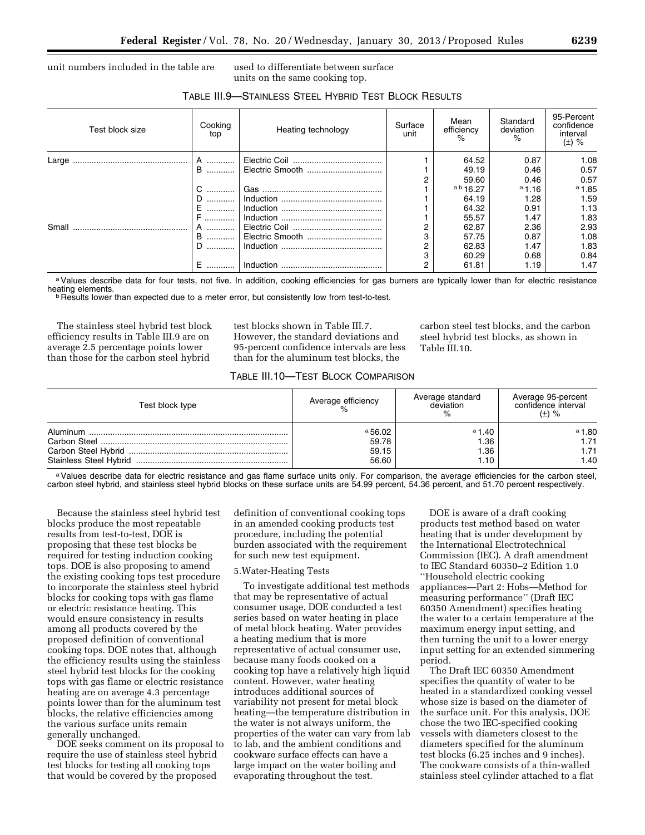TABLE III.9—STAINLESS STEEL HYBRID TEST BLOCK RESULTS

unit numbers included in the table are used to differentiate between surface

units on the same cooking top.

| Test block size | Cooking<br>top | Heating technology | Surface<br>unit | Mean<br>efficiency<br>% | Standard<br>deviation<br>$\%$ | 95-Percent<br>confidence<br>interval<br>$(\pm)$ % |
|-----------------|----------------|--------------------|-----------------|-------------------------|-------------------------------|---------------------------------------------------|
| Large           | A              |                    |                 | 64.52                   | 0.87                          | 1.08                                              |
|                 | <b>B</b>       | Electric Smooth    |                 | 49.19                   | 0.46                          | 0.57                                              |
|                 |                |                    |                 | 59.60                   | 0.46                          | 0.57                                              |
|                 | C              |                    |                 | a b 16.27               | a1.16                         | $a_{1.85}$                                        |
|                 | D              |                    |                 | 64.19                   | 1.28                          | 1.59                                              |
|                 | F.             |                    |                 | 64.32                   | 0.91                          | 1.13                                              |
|                 |                |                    |                 | 55.57                   | 1.47                          | 1.83                                              |
| Small           | A              |                    |                 | 62.87                   | 2.36                          | 2.93                                              |
|                 | B  '           | Electric Smooth    |                 | 57.75                   | 0.87                          | 1.08                                              |
|                 | D<br>.         |                    |                 | 62.83                   | 1.47                          | 1.83                                              |
|                 |                |                    |                 | 60.29                   | 0.68                          | 0.84                                              |
|                 | E  (           |                    |                 | 61.81                   | 1.19                          | 1.47                                              |

a Values describe data for four tests, not five. In addition, cooking efficiencies for gas burners are typically lower than for electric resistance<br>heating elements.

 $b$  Results lower than expected due to a meter error, but consistently low from test-to-test.

The stainless steel hybrid test block efficiency results in Table III.9 are on average 2.5 percentage points lower than those for the carbon steel hybrid

test blocks shown in Table III.7. However, the standard deviations and 95-percent confidence intervals are less than for the aluminum test blocks, the

carbon steel test blocks, and the carbon steel hybrid test blocks, as shown in Table III.10

# TABLE III.10—TEST BLOCK COMPARISON

| Test block type | Average efficiency | Average standard<br>deviation | Average 95-percent<br>confidence interval<br>$(\pm)$ % |
|-----------------|--------------------|-------------------------------|--------------------------------------------------------|
|                 | a,56,02            | a 1.40                        | <sup>a</sup> 1.80                                      |
|                 | 59.78              | .36                           | 1.71                                                   |
|                 | 59.15              | .36                           | 1.71                                                   |
|                 | 56.60              | .10                           | 1.40                                                   |

a Values describe data for electric resistance and gas flame surface units only. For comparison, the average efficiencies for the carbon steel, carbon steel hybrid, and stainless steel hybrid blocks on these surface units are 54.99 percent, 54.36 percent, and 51.70 percent respectively.

Because the stainless steel hybrid test blocks produce the most repeatable results from test-to-test, DOE is proposing that these test blocks be required for testing induction cooking tops. DOE is also proposing to amend the existing cooking tops test procedure to incorporate the stainless steel hybrid blocks for cooking tops with gas flame or electric resistance heating. This would ensure consistency in results among all products covered by the proposed definition of conventional cooking tops. DOE notes that, although the efficiency results using the stainless steel hybrid test blocks for the cooking tops with gas flame or electric resistance heating are on average 4.3 percentage points lower than for the aluminum test blocks, the relative efficiencies among the various surface units remain generally unchanged.

DOE seeks comment on its proposal to require the use of stainless steel hybrid test blocks for testing all cooking tops that would be covered by the proposed

definition of conventional cooking tops in an amended cooking products test procedure, including the potential burden associated with the requirement for such new test equipment.

#### 5.Water-Heating Tests

To investigate additional test methods that may be representative of actual consumer usage, DOE conducted a test series based on water heating in place of metal block heating. Water provides a heating medium that is more representative of actual consumer use, because many foods cooked on a cooking top have a relatively high liquid content. However, water heating introduces additional sources of variability not present for metal block heating—the temperature distribution in the water is not always uniform, the properties of the water can vary from lab to lab, and the ambient conditions and cookware surface effects can have a large impact on the water boiling and evaporating throughout the test.

DOE is aware of a draft cooking products test method based on water heating that is under development by the International Electrotechnical Commission (IEC). A draft amendment to IEC Standard 60350–2 Edition 1.0 ''Household electric cooking appliances—Part 2: Hobs—Method for measuring performance'' (Draft IEC 60350 Amendment) specifies heating the water to a certain temperature at the maximum energy input setting, and then turning the unit to a lower energy input setting for an extended simmering period.

The Draft IEC 60350 Amendment specifies the quantity of water to be heated in a standardized cooking vessel whose size is based on the diameter of the surface unit. For this analysis, DOE chose the two IEC-specified cooking vessels with diameters closest to the diameters specified for the aluminum test blocks (6.25 inches and 9 inches). The cookware consists of a thin-walled stainless steel cylinder attached to a flat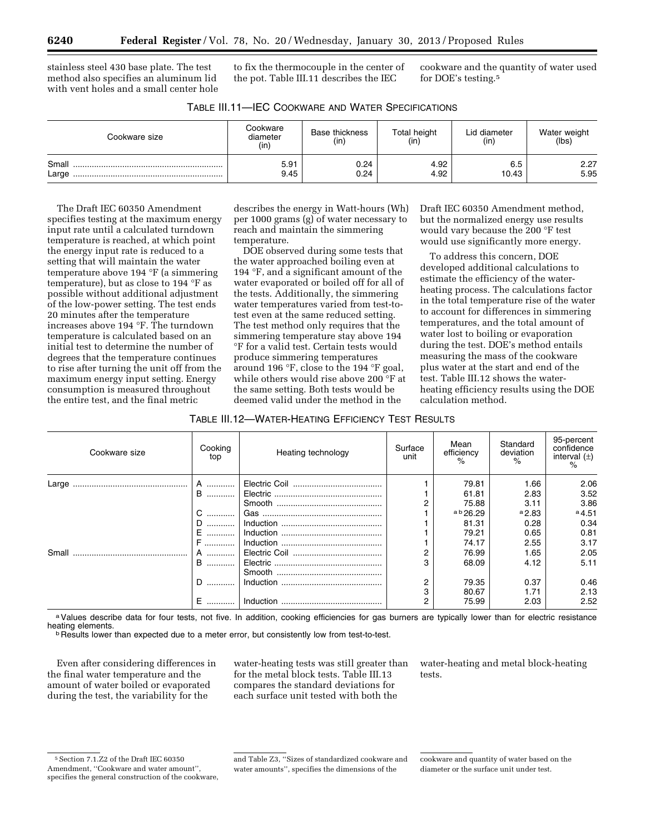stainless steel 430 base plate. The test method also specifies an aluminum lid with vent holes and a small center hole to fix the thermocouple in the center of the pot. Table III.11 describes the IEC

cookware and the quantity of water used for DOE's testing.5

| Cookware size  | Cookware<br>diameter<br>(in) | Base thickness<br>(in) | Total height<br>(in) | Lid diameter<br>(in) | Water weight<br>(lbs) |
|----------------|------------------------------|------------------------|----------------------|----------------------|-----------------------|
| Small<br>Large | 5.91<br>9.45                 | 0.24<br>0.24           | 4.92<br>4.92         | 6.5<br>10.43         | 2.27<br>5.95          |

The Draft IEC 60350 Amendment specifies testing at the maximum energy input rate until a calculated turndown temperature is reached, at which point the energy input rate is reduced to a setting that will maintain the water temperature above 194 °F (a simmering temperature), but as close to 194 °F as possible without additional adjustment of the low-power setting. The test ends 20 minutes after the temperature increases above 194 °F. The turndown temperature is calculated based on an initial test to determine the number of degrees that the temperature continues to rise after turning the unit off from the maximum energy input setting. Energy consumption is measured throughout the entire test, and the final metric

describes the energy in Watt-hours (Wh) per 1000 grams (g) of water necessary to reach and maintain the simmering temperature.

DOE observed during some tests that the water approached boiling even at 194 °F, and a significant amount of the water evaporated or boiled off for all of the tests. Additionally, the simmering water temperatures varied from test-totest even at the same reduced setting. The test method only requires that the simmering temperature stay above 194 °F for a valid test. Certain tests would produce simmering temperatures around 196 °F, close to the 194 °F goal, while others would rise above 200 °F at the same setting. Both tests would be deemed valid under the method in the

Draft IEC 60350 Amendment method, but the normalized energy use results would vary because the 200 °F test would use significantly more energy.

To address this concern, DOE developed additional calculations to estimate the efficiency of the waterheating process. The calculations factor in the total temperature rise of the water to account for differences in simmering temperatures, and the total amount of water lost to boiling or evaporation during the test. DOE's method entails measuring the mass of the cookware plus water at the start and end of the test. Table III.12 shows the waterheating efficiency results using the DOE calculation method.

TABLE III.12—WATER-HEATING EFFICIENCY TEST RESULTS

| Cookware size | Cooking<br>top | Heating technology | Surface<br>unit | Mean<br>efficiency<br>$\frac{1}{2}$ | Standard<br>deviation<br>$\frac{6}{2}$ | 95-percent<br>confidence<br>interval $(\pm)$<br>$\frac{1}{2}$ |
|---------------|----------------|--------------------|-----------------|-------------------------------------|----------------------------------------|---------------------------------------------------------------|
| Large         | A              |                    |                 | 79.81                               | 1.66                                   | 2.06                                                          |
|               | <b>B</b>       |                    |                 | 61.81                               | 2.83                                   | 3.52                                                          |
|               |                |                    |                 | 75.88                               | 3.11                                   | 3.86                                                          |
|               | C              |                    |                 | a b 26.29                           | a2.83                                  | $a$ 4.51                                                      |
|               | D              |                    |                 | 81.31                               | 0.28                                   | 0.34                                                          |
|               | F.<br>.        |                    |                 | 79.21                               | 0.65                                   | 0.81                                                          |
|               | F              |                    |                 | 74.17                               | 2.55                                   | 3.17                                                          |
| Small         | A              |                    |                 | 76.99                               | 1.65                                   | 2.05                                                          |
|               | B              |                    |                 | 68.09                               | 4.12                                   | 5.11                                                          |
|               |                |                    |                 |                                     |                                        |                                                               |
|               | D              |                    | 2               | 79.35                               | 0.37                                   | 0.46                                                          |
|               |                |                    |                 | 80.67                               | 1.71                                   | 2.13                                                          |
|               | E.             |                    |                 | 75.99                               | 2.03                                   | 2.52                                                          |

a Values describe data for four tests, not five. In addition, cooking efficiencies for gas burners are typically lower than for electric resistance<br>heating elements.

**h** Results lower than expected due to a meter error, but consistently low from test-to-test.

Even after considering differences in the final water temperature and the amount of water boiled or evaporated during the test, the variability for the

water-heating tests was still greater than for the metal block tests. Table III.13 compares the standard deviations for each surface unit tested with both the

water-heating and metal block-heating tests.

<sup>5</sup>Section 7.1.Z2 of the Draft IEC 60350 Amendment, ''Cookware and water amount'', specifies the general construction of the cookware,

and Table Z3, ''Sizes of standardized cookware and water amounts'', specifies the dimensions of the

cookware and quantity of water based on the diameter or the surface unit under test.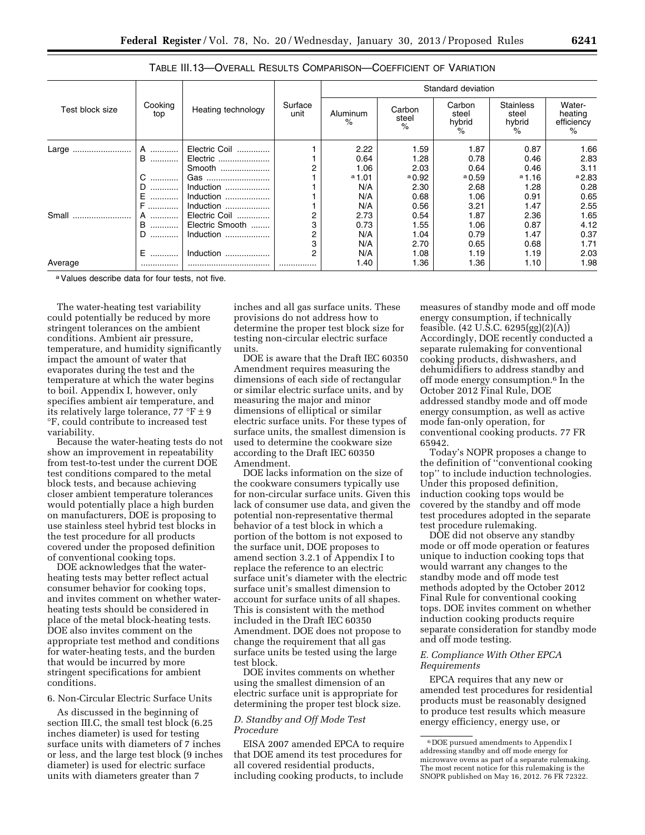|                 |                |                    |                 | Standard deviation |                         |                                |                                                      |                                      |  |
|-----------------|----------------|--------------------|-----------------|--------------------|-------------------------|--------------------------------|------------------------------------------------------|--------------------------------------|--|
| Test block size | Cooking<br>top | Heating technology | Surface<br>unit | Aluminum<br>$\%$   | Carbon<br>steel<br>$\%$ | Carbon<br>steel<br>hybrid<br>℅ | <b>Stainless</b><br>steel<br>hybrid<br>$\frac{1}{2}$ | Water-<br>heating<br>efficiency<br>% |  |
| Large           | A              | Electric Coil      |                 | 2.22               | 1.59                    | 1.87                           | 0.87                                                 | 1.66                                 |  |
|                 | B              | Electric           |                 | 0.64               | 1.28                    | 0.78                           | 0.46                                                 | 2.83                                 |  |
|                 |                | Smooth             |                 | 1.06               | 2.03                    | 0.64                           | 0.46                                                 | 3.11                                 |  |
|                 | C              | Gas                |                 | $a$ 1.01           | $a_{0.92}$              | $a_{0.59}$                     | $^{\circ}$ 1.16                                      | a2.83                                |  |
|                 |                | Induction          |                 | N/A                | 2.30                    | 2.68                           | 1.28                                                 | 0.28                                 |  |
|                 | .              |                    |                 | N/A                | 0.68                    | 1.06                           | 0.91                                                 | 0.65                                 |  |
|                 | F              |                    |                 | N/A                | 0.56                    | 3.21                           | 1.47                                                 | 2.55                                 |  |
| Small           | A              | Electric Coil      |                 | 2.73               | 0.54                    | 1.87                           | 2.36                                                 | 1.65                                 |  |
|                 | В.<br>.        | Electric Smooth    | 3               | 0.73               | 1.55                    | 1.06                           | 0.87                                                 | 4.12                                 |  |
|                 | D.<br>.        | Induction          |                 | N/A                | 1.04                    | 0.79                           | 1.47                                                 | 0.37                                 |  |
|                 |                |                    | 3               | N/A                | 2.70                    | 0.65                           | 0.68                                                 | 1.71                                 |  |
|                 | Е<br>.         | Induction.         | 2               | N/A                | 1.08                    | 1.19                           | 1.19                                                 | 2.03                                 |  |
| Average         |                |                    |                 | 1.40               | 1.36                    | 1.36                           | 1.10                                                 | 1.98                                 |  |

TABLE III.13—OVERALL RESULTS COMPARISON—COEFFICIENT OF VARIATION

a Values describe data for four tests, not five.

The water-heating test variability could potentially be reduced by more stringent tolerances on the ambient conditions. Ambient air pressure, temperature, and humidity significantly impact the amount of water that evaporates during the test and the temperature at which the water begins to boil. Appendix I, however, only specifies ambient air temperature, and its relatively large tolerance,  $77 \text{ }^{\circ}F \pm 9$ °F, could contribute to increased test variability.

Because the water-heating tests do not show an improvement in repeatability from test-to-test under the current DOE test conditions compared to the metal block tests, and because achieving closer ambient temperature tolerances would potentially place a high burden on manufacturers, DOE is proposing to use stainless steel hybrid test blocks in the test procedure for all products covered under the proposed definition of conventional cooking tops.

DOE acknowledges that the waterheating tests may better reflect actual consumer behavior for cooking tops, and invites comment on whether waterheating tests should be considered in place of the metal block-heating tests. DOE also invites comment on the appropriate test method and conditions for water-heating tests, and the burden that would be incurred by more stringent specifications for ambient conditions.

# 6. Non-Circular Electric Surface Units

As discussed in the beginning of section III.C, the small test block (6.25 inches diameter) is used for testing surface units with diameters of 7 inches or less, and the large test block (9 inches diameter) is used for electric surface units with diameters greater than 7

inches and all gas surface units. These provisions do not address how to determine the proper test block size for testing non-circular electric surface units.

DOE is aware that the Draft IEC 60350 Amendment requires measuring the dimensions of each side of rectangular or similar electric surface units, and by measuring the major and minor dimensions of elliptical or similar electric surface units. For these types of surface units, the smallest dimension is used to determine the cookware size according to the Draft IEC 60350 Amendment.

DOE lacks information on the size of the cookware consumers typically use for non-circular surface units. Given this lack of consumer use data, and given the potential non-representative thermal behavior of a test block in which a portion of the bottom is not exposed to the surface unit, DOE proposes to amend section 3.2.1 of Appendix I to replace the reference to an electric surface unit's diameter with the electric surface unit's smallest dimension to account for surface units of all shapes. This is consistent with the method included in the Draft IEC 60350 Amendment. DOE does not propose to change the requirement that all gas surface units be tested using the large test block.

DOE invites comments on whether using the smallest dimension of an electric surface unit is appropriate for determining the proper test block size.

# *D. Standby and Off Mode Test Procedure*

EISA 2007 amended EPCA to require that DOE amend its test procedures for all covered residential products, including cooking products, to include

measures of standby mode and off mode energy consumption, if technically feasible. (42 U.S.C. 6295(gg)(2)(A)) Accordingly, DOE recently conducted a separate rulemaking for conventional cooking products, dishwashers, and dehumidifiers to address standby and off mode energy consumption.6 In the October 2012 Final Rule, DOE addressed standby mode and off mode energy consumption, as well as active mode fan-only operation, for conventional cooking products. 77 FR 65942.

Today's NOPR proposes a change to the definition of ''conventional cooking top'' to include induction technologies. Under this proposed definition, induction cooking tops would be covered by the standby and off mode test procedures adopted in the separate test procedure rulemaking.

DOE did not observe any standby mode or off mode operation or features unique to induction cooking tops that would warrant any changes to the standby mode and off mode test methods adopted by the October 2012 Final Rule for conventional cooking tops. DOE invites comment on whether induction cooking products require separate consideration for standby mode and off mode testing.

### *E. Compliance With Other EPCA Requirements*

EPCA requires that any new or amended test procedures for residential products must be reasonably designed to produce test results which measure energy efficiency, energy use, or

<sup>6</sup> DOE pursued amendments to Appendix I addressing standby and off mode energy for microwave ovens as part of a separate rulemaking. The most recent notice for this rulemaking is the SNOPR published on May 16, 2012. 76 FR 72322.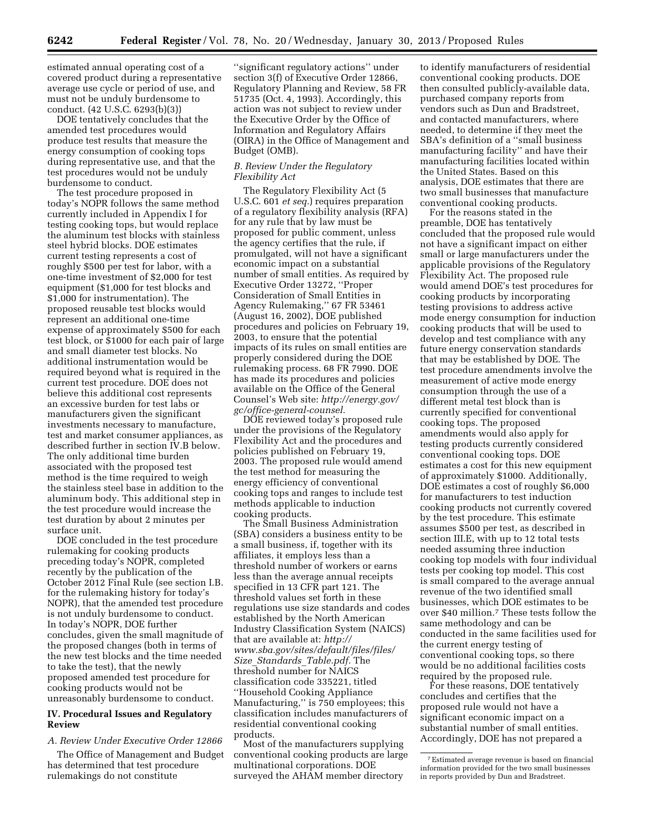estimated annual operating cost of a covered product during a representative average use cycle or period of use, and must not be unduly burdensome to conduct. (42 U.S.C. 6293(b)(3))

DOE tentatively concludes that the amended test procedures would produce test results that measure the energy consumption of cooking tops during representative use, and that the test procedures would not be unduly burdensome to conduct.

The test procedure proposed in today's NOPR follows the same method currently included in Appendix I for testing cooking tops, but would replace the aluminum test blocks with stainless steel hybrid blocks. DOE estimates current testing represents a cost of roughly \$500 per test for labor, with a one-time investment of \$2,000 for test equipment (\$1,000 for test blocks and \$1,000 for instrumentation). The proposed reusable test blocks would represent an additional one-time expense of approximately \$500 for each test block, or \$1000 for each pair of large and small diameter test blocks. No additional instrumentation would be required beyond what is required in the current test procedure. DOE does not believe this additional cost represents an excessive burden for test labs or manufacturers given the significant investments necessary to manufacture, test and market consumer appliances, as described further in section IV.B below. The only additional time burden associated with the proposed test method is the time required to weigh the stainless steel base in addition to the aluminum body. This additional step in the test procedure would increase the test duration by about 2 minutes per surface unit.

DOE concluded in the test procedure rulemaking for cooking products preceding today's NOPR, completed recently by the publication of the October 2012 Final Rule (see section I.B. for the rulemaking history for today's NOPR), that the amended test procedure is not unduly burdensome to conduct. In today's NOPR, DOE further concludes, given the small magnitude of the proposed changes (both in terms of the new test blocks and the time needed to take the test), that the newly proposed amended test procedure for cooking products would not be unreasonably burdensome to conduct.

### **IV. Procedural Issues and Regulatory Review**

# *A. Review Under Executive Order 12866*

The Office of Management and Budget has determined that test procedure rulemakings do not constitute

''significant regulatory actions'' under section 3(f) of Executive Order 12866, Regulatory Planning and Review, 58 FR 51735 (Oct. 4, 1993). Accordingly, this action was not subject to review under the Executive Order by the Office of Information and Regulatory Affairs (OIRA) in the Office of Management and Budget (OMB).

# *B. Review Under the Regulatory Flexibility Act*

The Regulatory Flexibility Act (5 U.S.C. 601 *et seq.*) requires preparation of a regulatory flexibility analysis (RFA) for any rule that by law must be proposed for public comment, unless the agency certifies that the rule, if promulgated, will not have a significant economic impact on a substantial number of small entities. As required by Executive Order 13272, ''Proper Consideration of Small Entities in Agency Rulemaking,'' 67 FR 53461 (August 16, 2002), DOE published procedures and policies on February 19, 2003, to ensure that the potential impacts of its rules on small entities are properly considered during the DOE rulemaking process. 68 FR 7990. DOE has made its procedures and policies available on the Office of the General Counsel's Web site: *[http://energy.gov/](http://energy.gov/gc/office-general-counsel)  [gc/office-general-counsel.](http://energy.gov/gc/office-general-counsel)* 

DOE reviewed today's proposed rule under the provisions of the Regulatory Flexibility Act and the procedures and policies published on February 19, 2003. The proposed rule would amend the test method for measuring the energy efficiency of conventional cooking tops and ranges to include test methods applicable to induction cooking products.

The Small Business Administration (SBA) considers a business entity to be a small business, if, together with its affiliates, it employs less than a threshold number of workers or earns less than the average annual receipts specified in 13 CFR part 121. The threshold values set forth in these regulations use size standards and codes established by the North American Industry Classification System (NAICS) that are available at: *[http://](http://www.sba.gov/sites/default/files/files/Size_Standards_Table.pdf)  [www.sba.gov/sites/default/files/files/](http://www.sba.gov/sites/default/files/files/Size_Standards_Table.pdf) Size*\_*[Standards](http://www.sba.gov/sites/default/files/files/Size_Standards_Table.pdf)*\_*Table.pdf.* The threshold number for NAICS classification code 335221, titled ''Household Cooking Appliance Manufacturing,'' is 750 employees; this classification includes manufacturers of residential conventional cooking products.

Most of the manufacturers supplying conventional cooking products are large multinational corporations. DOE surveyed the AHAM member directory

to identify manufacturers of residential conventional cooking products. DOE then consulted publicly-available data, purchased company reports from vendors such as Dun and Bradstreet, and contacted manufacturers, where needed, to determine if they meet the SBA's definition of a ''small business manufacturing facility'' and have their manufacturing facilities located within the United States. Based on this analysis, DOE estimates that there are two small businesses that manufacture conventional cooking products.

For the reasons stated in the preamble, DOE has tentatively concluded that the proposed rule would not have a significant impact on either small or large manufacturers under the applicable provisions of the Regulatory Flexibility Act. The proposed rule would amend DOE's test procedures for cooking products by incorporating testing provisions to address active mode energy consumption for induction cooking products that will be used to develop and test compliance with any future energy conservation standards that may be established by DOE. The test procedure amendments involve the measurement of active mode energy consumption through the use of a different metal test block than is currently specified for conventional cooking tops. The proposed amendments would also apply for testing products currently considered conventional cooking tops. DOE estimates a cost for this new equipment of approximately \$1000. Additionally, DOE estimates a cost of roughly \$6,000 for manufacturers to test induction cooking products not currently covered by the test procedure. This estimate assumes \$500 per test, as described in section III.E, with up to 12 total tests needed assuming three induction cooking top models with four individual tests per cooking top model. This cost is small compared to the average annual revenue of the two identified small businesses, which DOE estimates to be over \$40 million.7 These tests follow the same methodology and can be conducted in the same facilities used for the current energy testing of conventional cooking tops, so there would be no additional facilities costs required by the proposed rule.

For these reasons, DOE tentatively concludes and certifies that the proposed rule would not have a significant economic impact on a substantial number of small entities. Accordingly, DOE has not prepared a

<sup>7</sup>Estimated average revenue is based on financial information provided for the two small businesses in reports provided by Dun and Bradstreet.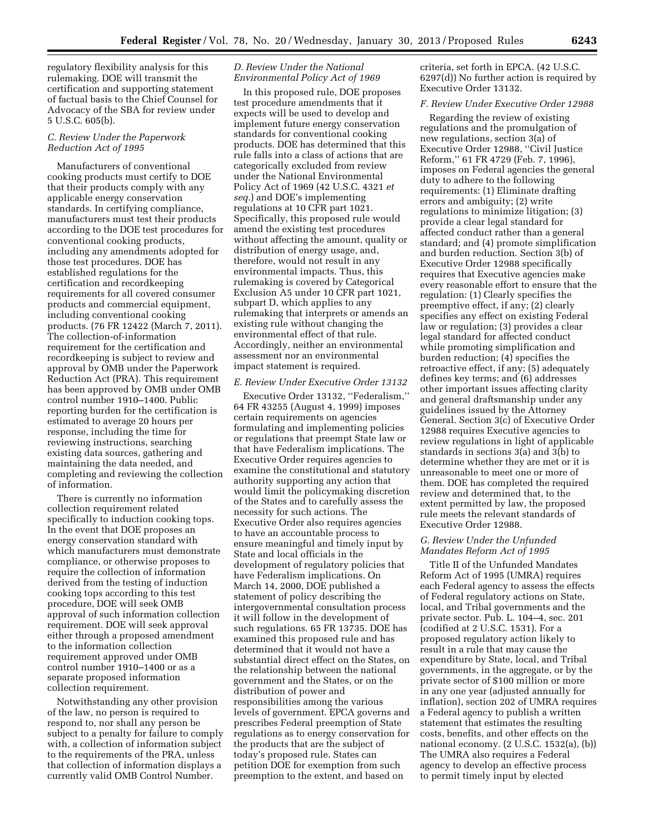regulatory flexibility analysis for this rulemaking. DOE will transmit the certification and supporting statement of factual basis to the Chief Counsel for Advocacy of the SBA for review under 5 U.S.C. 605(b).

#### *C. Review Under the Paperwork Reduction Act of 1995*

Manufacturers of conventional cooking products must certify to DOE that their products comply with any applicable energy conservation standards. In certifying compliance, manufacturers must test their products according to the DOE test procedures for conventional cooking products, including any amendments adopted for those test procedures. DOE has established regulations for the certification and recordkeeping requirements for all covered consumer products and commercial equipment, including conventional cooking products. (76 FR 12422 (March 7, 2011). The collection-of-information requirement for the certification and recordkeeping is subject to review and approval by OMB under the Paperwork Reduction Act (PRA). This requirement has been approved by OMB under OMB control number 1910–1400. Public reporting burden for the certification is estimated to average 20 hours per response, including the time for reviewing instructions, searching existing data sources, gathering and maintaining the data needed, and completing and reviewing the collection of information.

There is currently no information collection requirement related specifically to induction cooking tops. In the event that DOE proposes an energy conservation standard with which manufacturers must demonstrate compliance, or otherwise proposes to require the collection of information derived from the testing of induction cooking tops according to this test procedure, DOE will seek OMB approval of such information collection requirement. DOE will seek approval either through a proposed amendment to the information collection requirement approved under OMB control number 1910–1400 or as a separate proposed information collection requirement.

Notwithstanding any other provision of the law, no person is required to respond to, nor shall any person be subject to a penalty for failure to comply with, a collection of information subject to the requirements of the PRA, unless that collection of information displays a currently valid OMB Control Number.

## *D. Review Under the National Environmental Policy Act of 1969*

In this proposed rule, DOE proposes test procedure amendments that it expects will be used to develop and implement future energy conservation standards for conventional cooking products. DOE has determined that this rule falls into a class of actions that are categorically excluded from review under the National Environmental Policy Act of 1969 (42 U.S.C. 4321 *et seq.*) and DOE's implementing regulations at 10 CFR part 1021. Specifically, this proposed rule would amend the existing test procedures without affecting the amount, quality or distribution of energy usage, and, therefore, would not result in any environmental impacts. Thus, this rulemaking is covered by Categorical Exclusion A5 under 10 CFR part 1021, subpart D, which applies to any rulemaking that interprets or amends an existing rule without changing the environmental effect of that rule. Accordingly, neither an environmental assessment nor an environmental impact statement is required.

#### *E. Review Under Executive Order 13132*

Executive Order 13132, ''Federalism,'' 64 FR 43255 (August 4, 1999) imposes certain requirements on agencies formulating and implementing policies or regulations that preempt State law or that have Federalism implications. The Executive Order requires agencies to examine the constitutional and statutory authority supporting any action that would limit the policymaking discretion of the States and to carefully assess the necessity for such actions. The Executive Order also requires agencies to have an accountable process to ensure meaningful and timely input by State and local officials in the development of regulatory policies that have Federalism implications. On March 14, 2000, DOE published a statement of policy describing the intergovernmental consultation process it will follow in the development of such regulations. 65 FR 13735. DOE has examined this proposed rule and has determined that it would not have a substantial direct effect on the States, on the relationship between the national government and the States, or on the distribution of power and responsibilities among the various levels of government. EPCA governs and prescribes Federal preemption of State regulations as to energy conservation for the products that are the subject of today's proposed rule. States can petition DOE for exemption from such preemption to the extent, and based on

criteria, set forth in EPCA. (42 U.S.C. 6297(d)) No further action is required by Executive Order 13132.

#### *F. Review Under Executive Order 12988*

Regarding the review of existing regulations and the promulgation of new regulations, section 3(a) of Executive Order 12988, ''Civil Justice Reform,'' 61 FR 4729 (Feb. 7, 1996), imposes on Federal agencies the general duty to adhere to the following requirements: (1) Eliminate drafting errors and ambiguity; (2) write regulations to minimize litigation; (3) provide a clear legal standard for affected conduct rather than a general standard; and (4) promote simplification and burden reduction. Section 3(b) of Executive Order 12988 specifically requires that Executive agencies make every reasonable effort to ensure that the regulation: (1) Clearly specifies the preemptive effect, if any; (2) clearly specifies any effect on existing Federal law or regulation; (3) provides a clear legal standard for affected conduct while promoting simplification and burden reduction; (4) specifies the retroactive effect, if any; (5) adequately defines key terms; and (6) addresses other important issues affecting clarity and general draftsmanship under any guidelines issued by the Attorney General. Section 3(c) of Executive Order 12988 requires Executive agencies to review regulations in light of applicable standards in sections 3(a) and 3(b) to determine whether they are met or it is unreasonable to meet one or more of them. DOE has completed the required review and determined that, to the extent permitted by law, the proposed rule meets the relevant standards of Executive Order 12988.

# *G. Review Under the Unfunded Mandates Reform Act of 1995*

Title II of the Unfunded Mandates Reform Act of 1995 (UMRA) requires each Federal agency to assess the effects of Federal regulatory actions on State, local, and Tribal governments and the private sector. Pub. L. 104–4, sec. 201 (codified at 2 U.S.C. 1531). For a proposed regulatory action likely to result in a rule that may cause the expenditure by State, local, and Tribal governments, in the aggregate, or by the private sector of \$100 million or more in any one year (adjusted annually for inflation), section 202 of UMRA requires a Federal agency to publish a written statement that estimates the resulting costs, benefits, and other effects on the national economy. (2 U.S.C. 1532(a), (b)) The UMRA also requires a Federal agency to develop an effective process to permit timely input by elected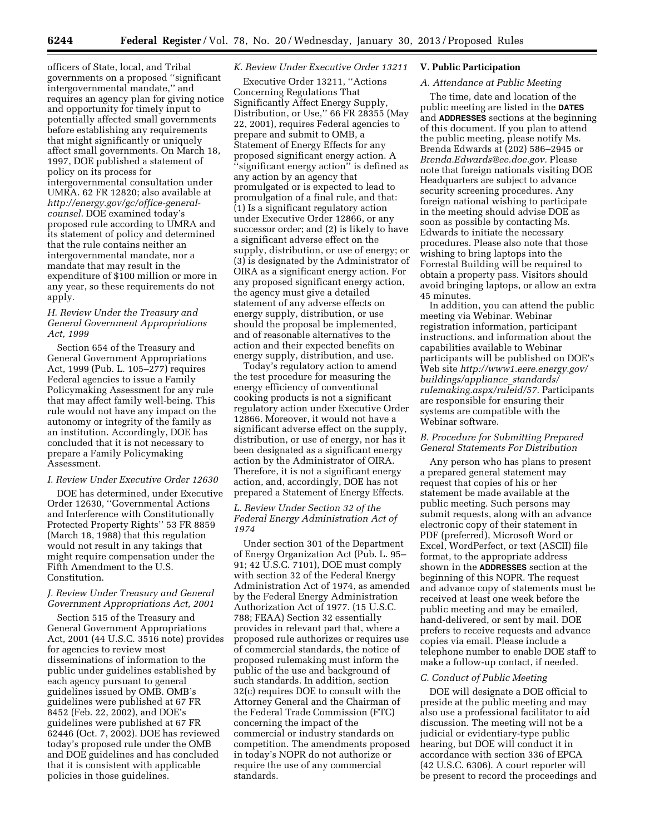officers of State, local, and Tribal governments on a proposed ''significant intergovernmental mandate,'' and requires an agency plan for giving notice and opportunity for timely input to potentially affected small governments before establishing any requirements that might significantly or uniquely affect small governments. On March 18, 1997, DOE published a statement of policy on its process for intergovernmental consultation under UMRA. 62 FR 12820; also available at *[http://energy.gov/gc/office-general](http://energy.gov/gc/office-general-counsel)[counsel](http://energy.gov/gc/office-general-counsel)*. DOE examined today's proposed rule according to UMRA and its statement of policy and determined that the rule contains neither an intergovernmental mandate, nor a mandate that may result in the expenditure of \$100 million or more in any year, so these requirements do not apply.

## *H. Review Under the Treasury and General Government Appropriations Act, 1999*

Section 654 of the Treasury and General Government Appropriations Act, 1999 (Pub. L. 105–277) requires Federal agencies to issue a Family Policymaking Assessment for any rule that may affect family well-being. This rule would not have any impact on the autonomy or integrity of the family as an institution. Accordingly, DOE has concluded that it is not necessary to prepare a Family Policymaking Assessment.

#### *I. Review Under Executive Order 12630*

DOE has determined, under Executive Order 12630, ''Governmental Actions and Interference with Constitutionally Protected Property Rights'' 53 FR 8859 (March 18, 1988) that this regulation would not result in any takings that might require compensation under the Fifth Amendment to the U.S. Constitution.

# *J. Review Under Treasury and General Government Appropriations Act, 2001*

Section 515 of the Treasury and General Government Appropriations Act, 2001 (44 U.S.C. 3516 note) provides for agencies to review most disseminations of information to the public under guidelines established by each agency pursuant to general guidelines issued by OMB. OMB's guidelines were published at 67 FR 8452 (Feb. 22, 2002), and DOE's guidelines were published at 67 FR 62446 (Oct. 7, 2002). DOE has reviewed today's proposed rule under the OMB and DOE guidelines and has concluded that it is consistent with applicable policies in those guidelines.

#### *K. Review Under Executive Order 13211*

Executive Order 13211, ''Actions Concerning Regulations That Significantly Affect Energy Supply, Distribution, or Use,'' 66 FR 28355 (May 22, 2001), requires Federal agencies to prepare and submit to OMB, a Statement of Energy Effects for any proposed significant energy action. A 'significant energy action" is defined as any action by an agency that promulgated or is expected to lead to promulgation of a final rule, and that: (1) Is a significant regulatory action under Executive Order 12866, or any successor order; and (2) is likely to have a significant adverse effect on the supply, distribution, or use of energy; or (3) is designated by the Administrator of OIRA as a significant energy action. For any proposed significant energy action, the agency must give a detailed statement of any adverse effects on energy supply, distribution, or use should the proposal be implemented, and of reasonable alternatives to the action and their expected benefits on energy supply, distribution, and use.

Today's regulatory action to amend the test procedure for measuring the energy efficiency of conventional cooking products is not a significant regulatory action under Executive Order 12866. Moreover, it would not have a significant adverse effect on the supply, distribution, or use of energy, nor has it been designated as a significant energy action by the Administrator of OIRA. Therefore, it is not a significant energy action, and, accordingly, DOE has not prepared a Statement of Energy Effects.

#### *L. Review Under Section 32 of the Federal Energy Administration Act of 1974*

Under section 301 of the Department of Energy Organization Act (Pub. L. 95– 91; 42 U.S.C. 7101), DOE must comply with section 32 of the Federal Energy Administration Act of 1974, as amended by the Federal Energy Administration Authorization Act of 1977. (15 U.S.C. 788; FEAA) Section 32 essentially provides in relevant part that, where a proposed rule authorizes or requires use of commercial standards, the notice of proposed rulemaking must inform the public of the use and background of such standards. In addition, section 32(c) requires DOE to consult with the Attorney General and the Chairman of the Federal Trade Commission (FTC) concerning the impact of the commercial or industry standards on competition. The amendments proposed in today's NOPR do not authorize or require the use of any commercial standards.

# **V. Public Participation**

### *A. Attendance at Public Meeting*

The time, date and location of the public meeting are listed in the **DATES** and **ADDRESSES** sections at the beginning of this document. If you plan to attend the public meeting, please notify Ms. Brenda Edwards at (202) 586–2945 or *[Brenda.Edwards@ee.doe.gov.](mailto:Brenda.Edwards@ee.doe.gov)* Please note that foreign nationals visiting DOE Headquarters are subject to advance security screening procedures. Any foreign national wishing to participate in the meeting should advise DOE as soon as possible by contacting Ms. Edwards to initiate the necessary procedures. Please also note that those wishing to bring laptops into the Forrestal Building will be required to obtain a property pass. Visitors should avoid bringing laptops, or allow an extra 45 minutes.

In addition, you can attend the public meeting via Webinar. Webinar registration information, participant instructions, and information about the capabilities available to Webinar participants will be published on DOE's Web site *[http://www1.eere.energy.gov/](http://www1.eere.energy.gov/buildings/appliance_standards/rulemaking.aspx/ruleid/57) [buildings/appliance](http://www1.eere.energy.gov/buildings/appliance_standards/rulemaking.aspx/ruleid/57)*\_*standards/ [rulemaking.aspx/ruleid/57](http://www1.eere.energy.gov/buildings/appliance_standards/rulemaking.aspx/ruleid/57)*. Participants are responsible for ensuring their systems are compatible with the Webinar software.

### *B. Procedure for Submitting Prepared General Statements For Distribution*

Any person who has plans to present a prepared general statement may request that copies of his or her statement be made available at the public meeting. Such persons may submit requests, along with an advance electronic copy of their statement in PDF (preferred), Microsoft Word or Excel, WordPerfect, or text (ASCII) file format, to the appropriate address shown in the **ADDRESSES** section at the beginning of this NOPR. The request and advance copy of statements must be received at least one week before the public meeting and may be emailed, hand-delivered, or sent by mail. DOE prefers to receive requests and advance copies via email. Please include a telephone number to enable DOE staff to make a follow-up contact, if needed.

# *C. Conduct of Public Meeting*

DOE will designate a DOE official to preside at the public meeting and may also use a professional facilitator to aid discussion. The meeting will not be a judicial or evidentiary-type public hearing, but DOE will conduct it in accordance with section 336 of EPCA (42 U.S.C. 6306). A court reporter will be present to record the proceedings and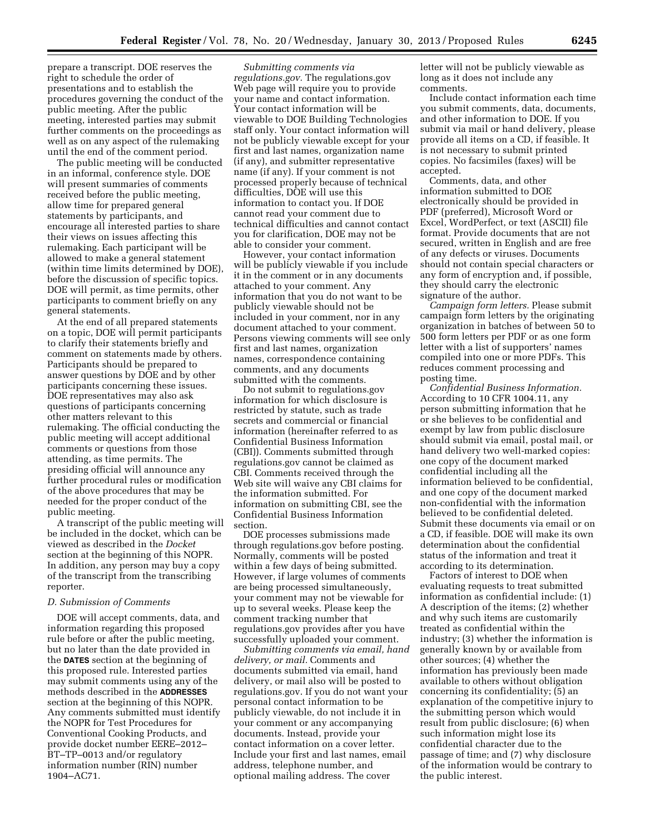prepare a transcript. DOE reserves the right to schedule the order of presentations and to establish the procedures governing the conduct of the public meeting. After the public meeting, interested parties may submit further comments on the proceedings as well as on any aspect of the rulemaking until the end of the comment period.

The public meeting will be conducted in an informal, conference style. DOE will present summaries of comments received before the public meeting, allow time for prepared general statements by participants, and encourage all interested parties to share their views on issues affecting this rulemaking. Each participant will be allowed to make a general statement (within time limits determined by DOE), before the discussion of specific topics. DOE will permit, as time permits, other participants to comment briefly on any general statements.

At the end of all prepared statements on a topic, DOE will permit participants to clarify their statements briefly and comment on statements made by others. Participants should be prepared to answer questions by DOE and by other participants concerning these issues. DOE representatives may also ask questions of participants concerning other matters relevant to this rulemaking. The official conducting the public meeting will accept additional comments or questions from those attending, as time permits. The presiding official will announce any further procedural rules or modification of the above procedures that may be needed for the proper conduct of the public meeting.

A transcript of the public meeting will be included in the docket, which can be viewed as described in the *Docket*  section at the beginning of this NOPR. In addition, any person may buy a copy of the transcript from the transcribing reporter.

#### *D. Submission of Comments*

DOE will accept comments, data, and information regarding this proposed rule before or after the public meeting, but no later than the date provided in the **DATES** section at the beginning of this proposed rule. Interested parties may submit comments using any of the methods described in the **ADDRESSES** section at the beginning of this NOPR. Any comments submitted must identify the NOPR for Test Procedures for Conventional Cooking Products, and provide docket number EERE–2012– BT–TP–0013 and/or regulatory information number (RIN) number 1904–AC71.

*Submitting comments via regulations.gov.* The regulations.gov Web page will require you to provide your name and contact information. Your contact information will be viewable to DOE Building Technologies staff only. Your contact information will not be publicly viewable except for your first and last names, organization name (if any), and submitter representative name (if any). If your comment is not processed properly because of technical difficulties, DOE will use this information to contact you. If DOE cannot read your comment due to technical difficulties and cannot contact you for clarification, DOE may not be able to consider your comment.

However, your contact information will be publicly viewable if you include it in the comment or in any documents attached to your comment. Any information that you do not want to be publicly viewable should not be included in your comment, nor in any document attached to your comment. Persons viewing comments will see only first and last names, organization names, correspondence containing comments, and any documents submitted with the comments.

Do not submit to regulations.gov information for which disclosure is restricted by statute, such as trade secrets and commercial or financial information (hereinafter referred to as Confidential Business Information (CBI)). Comments submitted through regulations.gov cannot be claimed as CBI. Comments received through the Web site will waive any CBI claims for the information submitted. For information on submitting CBI, see the Confidential Business Information section.

DOE processes submissions made through regulations.gov before posting. Normally, comments will be posted within a few days of being submitted. However, if large volumes of comments are being processed simultaneously, your comment may not be viewable for up to several weeks. Please keep the comment tracking number that regulations.gov provides after you have successfully uploaded your comment.

*Submitting comments via email, hand delivery, or mail.* Comments and documents submitted via email, hand delivery, or mail also will be posted to regulations.gov. If you do not want your personal contact information to be publicly viewable, do not include it in your comment or any accompanying documents. Instead, provide your contact information on a cover letter. Include your first and last names, email address, telephone number, and optional mailing address. The cover

letter will not be publicly viewable as long as it does not include any comments.

Include contact information each time you submit comments, data, documents, and other information to DOE. If you submit via mail or hand delivery, please provide all items on a CD, if feasible. It is not necessary to submit printed copies. No facsimiles (faxes) will be accepted.

Comments, data, and other information submitted to DOE electronically should be provided in PDF (preferred), Microsoft Word or Excel, WordPerfect, or text (ASCII) file format. Provide documents that are not secured, written in English and are free of any defects or viruses. Documents should not contain special characters or any form of encryption and, if possible, they should carry the electronic signature of the author.

*Campaign form letters.* Please submit campaign form letters by the originating organization in batches of between 50 to 500 form letters per PDF or as one form letter with a list of supporters' names compiled into one or more PDFs. This reduces comment processing and posting time.

*Confidential Business Information.*  According to 10 CFR 1004.11, any person submitting information that he or she believes to be confidential and exempt by law from public disclosure should submit via email, postal mail, or hand delivery two well-marked copies: one copy of the document marked confidential including all the information believed to be confidential, and one copy of the document marked non-confidential with the information believed to be confidential deleted. Submit these documents via email or on a CD, if feasible. DOE will make its own determination about the confidential status of the information and treat it according to its determination.

Factors of interest to DOE when evaluating requests to treat submitted information as confidential include: (1) A description of the items; (2) whether and why such items are customarily treated as confidential within the industry; (3) whether the information is generally known by or available from other sources; (4) whether the information has previously been made available to others without obligation concerning its confidentiality; (5) an explanation of the competitive injury to the submitting person which would result from public disclosure; (6) when such information might lose its confidential character due to the passage of time; and (7) why disclosure of the information would be contrary to the public interest.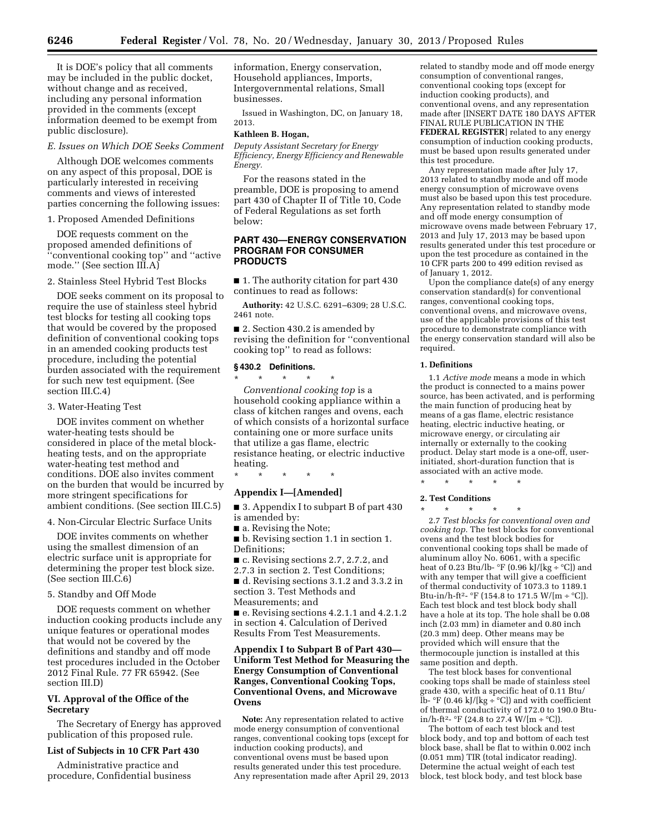It is DOE's policy that all comments may be included in the public docket, without change and as received, including any personal information provided in the comments (except information deemed to be exempt from public disclosure).

#### *E. Issues on Which DOE Seeks Comment*

Although DOE welcomes comments on any aspect of this proposal, DOE is particularly interested in receiving comments and views of interested parties concerning the following issues:

1. Proposed Amended Definitions

DOE requests comment on the proposed amended definitions of ''conventional cooking top'' and ''active mode.'' (See section III.A)

2. Stainless Steel Hybrid Test Blocks

DOE seeks comment on its proposal to require the use of stainless steel hybrid test blocks for testing all cooking tops that would be covered by the proposed definition of conventional cooking tops in an amended cooking products test procedure, including the potential burden associated with the requirement for such new test equipment. (See section III.C.4)

3. Water-Heating Test

DOE invites comment on whether water-heating tests should be considered in place of the metal blockheating tests, and on the appropriate water-heating test method and conditions. DOE also invites comment on the burden that would be incurred by more stringent specifications for ambient conditions. (See section III.C.5)

4. Non-Circular Electric Surface Units

DOE invites comments on whether using the smallest dimension of an electric surface unit is appropriate for determining the proper test block size. (See section III.C.6)

#### 5. Standby and Off Mode

DOE requests comment on whether induction cooking products include any unique features or operational modes that would not be covered by the definitions and standby and off mode test procedures included in the October 2012 Final Rule. 77 FR 65942. (See section III.D)

### **VI. Approval of the Office of the Secretary**

The Secretary of Energy has approved publication of this proposed rule.

#### **List of Subjects in 10 CFR Part 430**

Administrative practice and procedure, Confidential business information, Energy conservation, Household appliances, Imports, Intergovernmental relations, Small businesses.

Issued in Washington, DC, on January 18, 2013.

#### **Kathleen B. Hogan,**

*Deputy Assistant Secretary for Energy Efficiency, Energy Efficiency and Renewable Energy.* 

For the reasons stated in the preamble, DOE is proposing to amend part 430 of Chapter II of Title 10, Code of Federal Regulations as set forth below:

## **PART 430—ENERGY CONSERVATION PROGRAM FOR CONSUMER PRODUCTS**

■ 1. The authority citation for part 430 continues to read as follows:

**Authority:** 42 U.S.C. 6291–6309; 28 U.S.C. 2461 note.

■ 2. Section 430.2 is amended by revising the definition for ''conventional cooking top'' to read as follows:

#### **§ 430.2 Definitions.**

\* \* \* \* \* *Conventional cooking top* is a household cooking appliance within a class of kitchen ranges and ovens, each of which consists of a horizontal surface containing one or more surface units that utilize a gas flame, electric resistance heating, or electric inductive heating.

\* \* \* \* \*

# **Appendix I—[Amended]**

■ 3. Appendix I to subpart B of part 430 is amended by:

- a. Revising the Note;
- b. Revising section 1.1 in section 1. Definitions;

■ c. Revising sections 2.7, 2.7.2, and

2.7.3 in section 2. Test Conditions; ■ d. Revising sections 3.1.2 and 3.3.2 in section 3. Test Methods and Measurements; and

■ e. Revising sections 4.2.1.1 and 4.2.1.2 in section 4. Calculation of Derived Results From Test Measurements.

## **Appendix I to Subpart B of Part 430— Uniform Test Method for Measuring the Energy Consumption of Conventional Ranges, Conventional Cooking Tops, Conventional Ovens, and Microwave Ovens**

**Note:** Any representation related to active mode energy consumption of conventional ranges, conventional cooking tops (except for induction cooking products), and conventional ovens must be based upon results generated under this test procedure. Any representation made after April 29, 2013

related to standby mode and off mode energy consumption of conventional ranges, conventional cooking tops (except for induction cooking products), and conventional ovens, and any representation made after [INSERT DATE 180 DAYS AFTER FINAL RULE PUBLICATION IN THE **FEDERAL REGISTER**] related to any energy consumption of induction cooking products, must be based upon results generated under this test procedure.

Any representation made after July 17, 2013 related to standby mode and off mode energy consumption of microwave ovens must also be based upon this test procedure. Any representation related to standby mode and off mode energy consumption of microwave ovens made between February 17, 2013 and July 17, 2013 may be based upon results generated under this test procedure or upon the test procedure as contained in the 10 CFR parts 200 to 499 edition revised as of January 1, 2012.

Upon the compliance date(s) of any energy conservation standard(s) for conventional ranges, conventional cooking tops, conventional ovens, and microwave ovens, use of the applicable provisions of this test procedure to demonstrate compliance with the energy conservation standard will also be required.

#### **1. Definitions**

1.1 *Active mode* means a mode in which the product is connected to a mains power source, has been activated, and is performing the main function of producing heat by means of a gas flame, electric resistance heating, electric inductive heating, or microwave energy, or circulating air internally or externally to the cooking product. Delay start mode is a one-off, userinitiated, short-duration function that is associated with an active mode.

\* \* \* \* \*

#### **2. Test Conditions**

\* \* \* \* \*

2.7 *Test blocks for conventional oven and cooking top.* The test blocks for conventional ovens and the test block bodies for conventional cooking tops shall be made of aluminum alloy No. 6061, with a specific heat of 0.23 Btu/lb-  $\mathrm{F}$  (0.96 kJ/[kg  $\div$  °C]) and with any temper that will give a coefficient of thermal conductivity of 1073.3 to 1189.1 Btu-in/h-ft<sup>2</sup>- °F (154.8 to 171.5 W/[m ÷ °C]). Each test block and test block body shall have a hole at its top. The hole shall be 0.08 inch (2.03 mm) in diameter and 0.80 inch (20.3 mm) deep. Other means may be provided which will ensure that the thermocouple junction is installed at this same position and depth.

The test block bases for conventional cooking tops shall be made of stainless steel grade 430, with a specific heat of 0.11 Btu/  $\text{lb-} \text{°F}$  (0.46 kJ/[kg ÷  $\text{°C}$ ]) and with coefficient of thermal conductivity of 172.0 to 190.0 Btuin/h-ft<sup>2</sup>- °F (24.8 to 27.4 W/[m ÷ °C]).

The bottom of each test block and test block body, and top and bottom of each test block base, shall be flat to within 0.002 inch (0.051 mm) TIR (total indicator reading). Determine the actual weight of each test block, test block body, and test block base